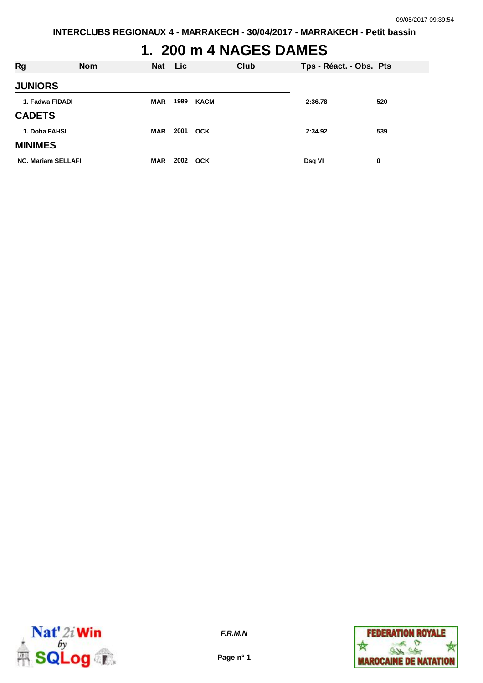# **1. 200 m 4 NAGES DAMES**

| Rg                        | <b>Nom</b> |            | Nat Lic |            | Club | Tps - Réact. - Obs. Pts |     |
|---------------------------|------------|------------|---------|------------|------|-------------------------|-----|
| <b>JUNIORS</b>            |            |            |         |            |      |                         |     |
| 1. Fadwa FIDADI           |            | <b>MAR</b> | 1999    | KACM       |      | 2:36.78                 | 520 |
| <b>CADETS</b>             |            |            |         |            |      |                         |     |
| 1. Doha FAHSI             |            | <b>MAR</b> |         | 2001 OCK   |      | 2:34.92                 | 539 |
| <b>MINIMES</b>            |            |            |         |            |      |                         |     |
| <b>NC. Mariam SELLAFI</b> |            | <b>MAR</b> | 2002    | <b>OCK</b> |      | Dsq VI                  | 0   |



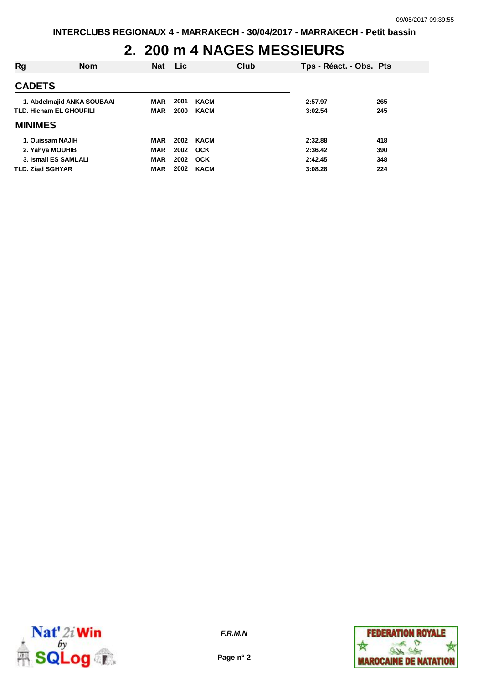### **2. 200 m 4 NAGES MESSIEURS**

| Rg                             | <b>Nom</b> | <b>Nat</b> | <b>Lic</b> |             | Club | Tps - Réact. - Obs. Pts |     |
|--------------------------------|------------|------------|------------|-------------|------|-------------------------|-----|
| <b>CADETS</b>                  |            |            |            |             |      |                         |     |
| 1. Abdelmajid ANKA SOUBAAI     |            | <b>MAR</b> | 2001       | <b>KACM</b> |      | 2:57.97                 | 265 |
| <b>TLD. Hicham EL GHOUFILI</b> |            | MAR        | 2000       | <b>KACM</b> |      | 3:02.54                 | 245 |
| <b>MINIMES</b>                 |            |            |            |             |      |                         |     |
| 1. Ouissam NAJIH               |            | MAR        | 2002       | <b>KACM</b> |      | 2:32.88                 | 418 |
| 2. Yahya MOUHIB                |            | <b>MAR</b> | 2002       | <b>OCK</b>  |      | 2:36.42                 | 390 |
| 3. Ismail ES SAMLALI           |            | <b>MAR</b> | 2002       | <b>OCK</b>  |      | 2:42.45                 | 348 |
| <b>TLD. Ziad SGHYAR</b>        |            | <b>MAR</b> | 2002       | <b>KACM</b> |      | 3:08.28                 | 224 |



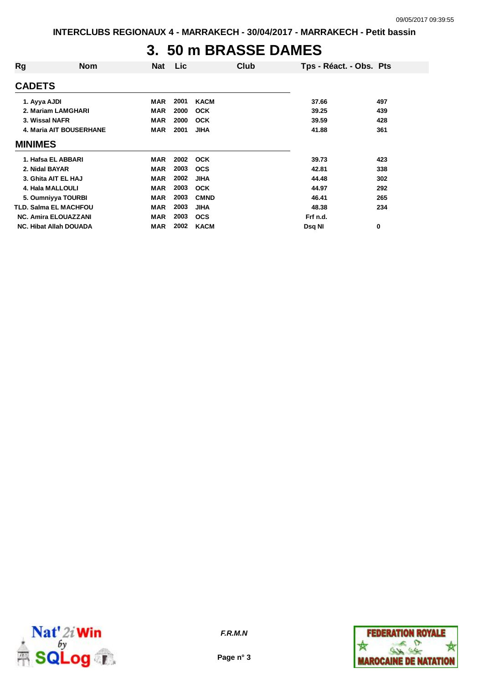#### **3. 50 m BRASSE DAMES**

| Rg             | <b>Nom</b>                    | Nat        | Lic  | Club        | Tps - Réact. - Obs. Pts |     |
|----------------|-------------------------------|------------|------|-------------|-------------------------|-----|
| <b>CADETS</b>  |                               |            |      |             |                         |     |
| 1. Ayya AJDI   |                               | <b>MAR</b> | 2001 | <b>KACM</b> | 37.66                   | 497 |
|                | 2. Mariam LAMGHARI            | <b>MAR</b> | 2000 | <b>OCK</b>  | 39.25                   | 439 |
|                | 3. Wissal NAFR                | <b>MAR</b> | 2000 | <b>OCK</b>  | 39.59                   | 428 |
|                | 4. Maria AIT BOUSERHANE       | <b>MAR</b> | 2001 | <b>JIHA</b> | 41.88                   | 361 |
| <b>MINIMES</b> |                               |            |      |             |                         |     |
|                | 1. Hafsa EL ABBARI            | <b>MAR</b> | 2002 | <b>OCK</b>  | 39.73                   | 423 |
| 2. Nidal BAYAR |                               | <b>MAR</b> | 2003 | <b>OCS</b>  | 42.81                   | 338 |
|                | 3. Ghita AIT EL HAJ           | <b>MAR</b> | 2002 | <b>JIHA</b> | 44.48                   | 302 |
|                | 4. Hala MALLOULI              | <b>MAR</b> | 2003 | <b>OCK</b>  | 44.97                   | 292 |
|                | 5. Oumniyya TOURBI            | <b>MAR</b> | 2003 | <b>CMND</b> | 46.41                   | 265 |
|                | <b>TLD. Salma EL MACHFOU</b>  | <b>MAR</b> | 2003 | <b>JIHA</b> | 48.38                   | 234 |
|                | <b>NC. Amira ELOUAZZANI</b>   | <b>MAR</b> | 2003 | <b>OCS</b>  | Frf n.d.                |     |
|                | <b>NC. Hibat Allah DOUADA</b> | <b>MAR</b> | 2002 | <b>KACM</b> | Dsq NI                  | 0   |
|                |                               |            |      |             |                         |     |



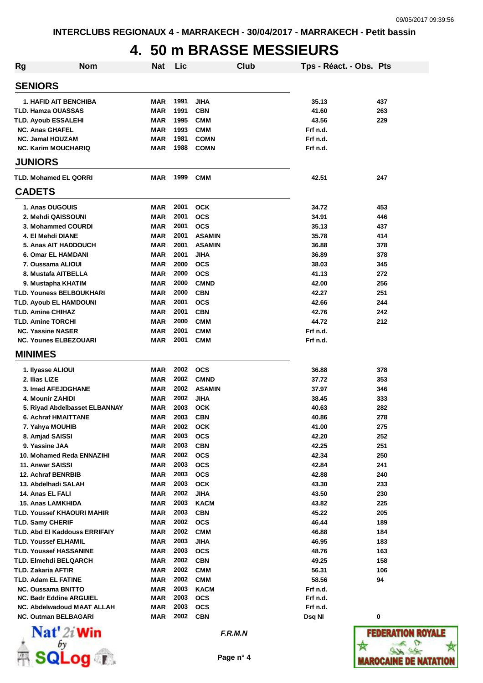# **4. 50 m BRASSE MESSIEURS**

| <b>Rg</b> | <b>Nom</b>                           | Nat        | Lic  |               | Club | Tps - Réact. - Obs. Pts |     |
|-----------|--------------------------------------|------------|------|---------------|------|-------------------------|-----|
|           | <b>SENIORS</b>                       |            |      |               |      |                         |     |
|           | 1. HAFID AIT BENCHIBA                | MAR        | 1991 | <b>JIHA</b>   |      | 35.13                   | 437 |
|           | <b>TLD. Hamza OUASSAS</b>            | <b>MAR</b> | 1991 | <b>CBN</b>    |      | 41.60                   | 263 |
|           | <b>TLD. Ayoub ESSALEHI</b>           | <b>MAR</b> | 1995 | <b>CMM</b>    |      | 43.56                   | 229 |
|           | <b>NC. Anas GHAFEL</b>               | <b>MAR</b> | 1993 | <b>CMM</b>    |      | Frf n.d.                |     |
|           | <b>NC. Jamal HOUZAM</b>              | <b>MAR</b> | 1981 | <b>COMN</b>   |      | Frf n.d.                |     |
|           | <b>NC. Karim MOUCHARIQ</b>           | <b>MAR</b> | 1988 | <b>COMN</b>   |      | Frf n.d.                |     |
|           | <b>JUNIORS</b>                       |            |      |               |      |                         |     |
|           | <b>TLD. Mohamed EL QORRI</b>         | <b>MAR</b> | 1999 | <b>CMM</b>    |      | 42.51                   | 247 |
|           | <b>CADETS</b>                        |            |      |               |      |                         |     |
|           | 1. Anas OUGOUIS                      | MAR        | 2001 | <b>OCK</b>    |      | 34.72                   | 453 |
|           | 2. Mehdi QAISSOUNI                   | <b>MAR</b> | 2001 | <b>OCS</b>    |      | 34.91                   | 446 |
|           | 3. Mohammed COURDI                   | <b>MAR</b> | 2001 | <b>OCS</b>    |      | 35.13                   | 437 |
|           | 4. El Mehdi DIANE                    | <b>MAR</b> | 2001 | <b>ASAMIN</b> |      | 35.78                   | 414 |
|           | 5. Anas AIT HADDOUCH                 | <b>MAR</b> | 2001 | <b>ASAMIN</b> |      | 36.88                   | 378 |
|           | 6. Omar EL HAMDANI                   | MAR        | 2001 | <b>JIHA</b>   |      | 36.89                   | 378 |
|           | 7. Oussama ALIOUI                    | MAR        | 2000 | <b>OCS</b>    |      | 38.03                   | 345 |
|           | 8. Mustafa AITBELLA                  | MAR        | 2000 | <b>OCS</b>    |      | 41.13                   | 272 |
|           | 9. Mustapha KHATIM                   | MAR        | 2000 | <b>CMND</b>   |      | 42.00                   | 256 |
|           | <b>TLD. Youness BELBOUKHARI</b>      | MAR        | 2000 | <b>CBN</b>    |      | 42.27                   | 251 |
|           | <b>TLD. Ayoub EL HAMDOUNI</b>        | MAR        | 2001 | <b>OCS</b>    |      | 42.66                   | 244 |
|           | <b>TLD. Amine CHIHAZ</b>             | MAR        | 2001 | <b>CBN</b>    |      | 42.76                   | 242 |
|           | <b>TLD. Amine TORCHI</b>             | MAR        | 2000 | <b>CMM</b>    |      | 44.72                   | 212 |
|           | <b>NC. Yassine NASER</b>             | MAR        | 2001 | <b>CMM</b>    |      | Frf n.d.                |     |
|           | <b>NC. Younes ELBEZOUARI</b>         | MAR        | 2001 | <b>CMM</b>    |      | Frf n.d.                |     |
|           | <b>MINIMES</b>                       |            |      |               |      |                         |     |
|           | 1. Ilyasse ALIOUI                    | MAR        | 2002 | <b>OCS</b>    |      | 36.88                   | 378 |
|           | 2. Ilias LIZE                        | MAR        | 2002 | <b>CMND</b>   |      | 37.72                   | 353 |
|           | 3. Imad AFEJDGHANE                   | MAR        | 2002 | <b>ASAMIN</b> |      | 37.97                   | 346 |
|           | 4. Mounir ZAHIDI                     | <b>MAR</b> | 2002 | <b>JIHA</b>   |      | 38.45                   | 333 |
|           | 5. Riyad Abdelbasset ELBANNAY        | MAR        | 2003 | <b>OCK</b>    |      | 40.63                   | 282 |
|           | 6. Achraf HMAITTANE                  | MAR        | 2003 | <b>CBN</b>    |      | 40.86                   | 278 |
|           | 7. Yahya MOUHIB                      | MAR        | 2002 | <b>OCK</b>    |      | 41.00                   | 275 |
|           | 8. Amjad SAISSI                      | MAR        | 2003 | <b>OCS</b>    |      | 42.20                   | 252 |
|           | 9. Yassine JAA                       | <b>MAR</b> | 2003 | <b>CBN</b>    |      | 42.25                   | 251 |
|           | 10. Mohamed Reda ENNAZIHI            | <b>MAR</b> | 2002 | <b>OCS</b>    |      | 42.34                   | 250 |
|           | 11. Anwar SAISSI                     | <b>MAR</b> | 2003 | <b>OCS</b>    |      | 42.84                   | 241 |
|           | 12. Achraf BENRBIB                   | <b>MAR</b> | 2003 | <b>OCS</b>    |      | 42.88                   | 240 |
|           | 13. Abdelhadi SALAH                  | <b>MAR</b> | 2003 | <b>OCK</b>    |      | 43.30                   | 233 |
|           | 14. Anas EL FALI                     | <b>MAR</b> | 2002 | <b>JIHA</b>   |      | 43.50                   | 230 |
|           | 15. Anas LAMKHIDA                    | <b>MAR</b> | 2003 | <b>KACM</b>   |      | 43.82                   | 225 |
|           | <b>TLD. Youssef KHAOURI MAHIR</b>    | MAR        | 2003 | <b>CBN</b>    |      | 45.22                   | 205 |
|           | <b>TLD. Samy CHERIF</b>              | <b>MAR</b> | 2002 | <b>OCS</b>    |      | 46.44                   | 189 |
|           | <b>TLD. Abd EI Kaddouss ERRIFAIY</b> | MAR        | 2002 | <b>CMM</b>    |      | 46.88                   | 184 |
|           | <b>TLD. Youssef ELHAMIL</b>          | MAR        | 2003 | <b>JIHA</b>   |      | 46.95                   | 183 |
|           | <b>TLD. Youssef HASSANINE</b>        | MAR        | 2003 | <b>OCS</b>    |      | 48.76                   | 163 |
|           | <b>TLD. Elmehdi BELQARCH</b>         | <b>MAR</b> | 2002 | <b>CBN</b>    |      | 49.25                   | 158 |
|           | <b>TLD. Zakaria AFTIR</b>            | MAR        | 2002 | <b>CMM</b>    |      | 56.31                   | 106 |
|           | <b>TLD. Adam EL FATINE</b>           | MAR        | 2002 | <b>CMM</b>    |      | 58.56                   | 94  |
|           | <b>NC. Oussama BNITTO</b>            | MAR        | 2003 | KACM          |      | Frf n.d.                |     |
|           | <b>NC. Badr Eddine ARGUIEL</b>       | <b>MAR</b> | 2003 | <b>OCS</b>    |      | Frf n.d.                |     |
|           | NC. Abdelwadoud MAAT ALLAH           | MAR        | 2003 | <b>OCS</b>    |      | Frf n.d.                |     |
|           | <b>NC. Outman BELBAGARI</b>          | MAR        | 2002 | <b>CBN</b>    |      | Dsq NI                  | 0   |
|           | $NT = 1100$ contains:                |            |      |               |      |                         |     |



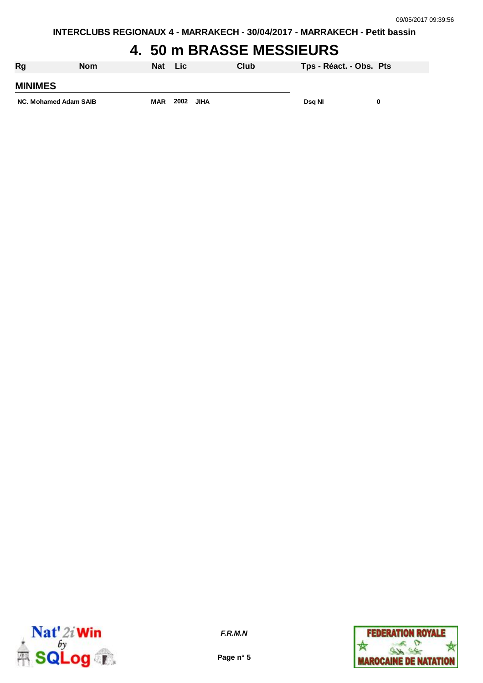**INTERCLUBS REGIONAUX 4 - MARRAKECH - 30/04/2017 - MARRAKECH - Petit bassin**

## **4. 50 m BRASSE MESSIEURS**

| Rg                    | <b>Nom</b> | <b>Nat</b> | Lic  |             | Club | Tps - Réact. - Obs. Pts |  |
|-----------------------|------------|------------|------|-------------|------|-------------------------|--|
| <b>MINIMES</b>        |            |            |      |             |      |                         |  |
| NC. Mohamed Adam SAIB |            | <b>MAR</b> | 2002 | <b>JIHA</b> |      | Dsg NI                  |  |



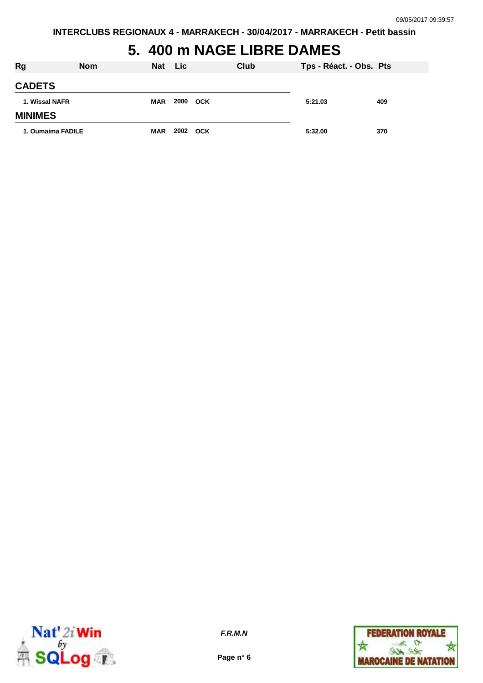**INTERCLUBS REGIONAUX 4 - MARRAKECH - 30/04/2017 - MARRAKECH - Petit bassin**

# **5. 400 m NAGE LIBRE DAMES**

| <b>Rg</b>         | <b>Nom</b> | <b>Nat</b> | <b>Lic</b> | Club | Tps - Réact. - Obs. Pts |     |
|-------------------|------------|------------|------------|------|-------------------------|-----|
| <b>CADETS</b>     |            |            |            |      |                         |     |
| 1. Wissal NAFR    |            | <b>MAR</b> | 2000 OCK   |      | 5:21.03                 | 409 |
| <b>MINIMES</b>    |            |            |            |      |                         |     |
| 1. Oumaima FADILE |            | <b>MAR</b> | 2002 OCK   |      | 5:32.00                 | 370 |



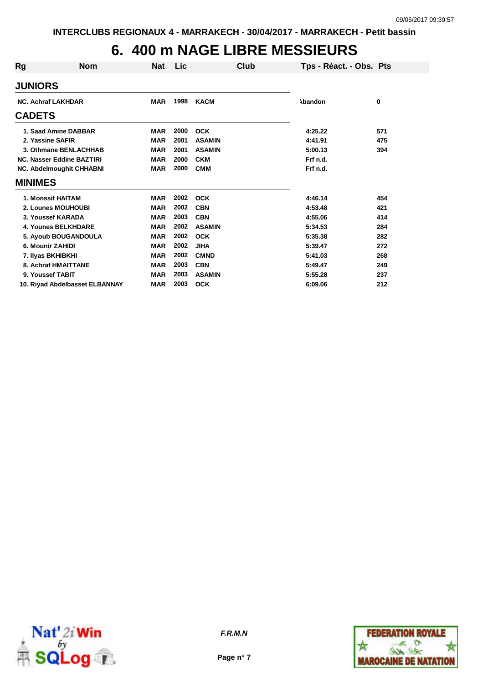# **6. 400 m NAGE LIBRE MESSIEURS**

| Rg                              | <b>Nom</b>                     | <b>Nat</b> | Lic  | Club          | Tps - Réact. - Obs. Pts |     |
|---------------------------------|--------------------------------|------------|------|---------------|-------------------------|-----|
| <b>JUNIORS</b>                  |                                |            |      |               |                         |     |
| <b>NC. Achraf LAKHDAR</b>       |                                | <b>MAR</b> | 1998 | <b>KACM</b>   | Abandon                 | 0   |
| <b>CADETS</b>                   |                                |            |      |               |                         |     |
|                                 | 1. Saad Amine DABBAR           | <b>MAR</b> | 2000 | <b>OCK</b>    | 4:25.22                 | 571 |
| 2. Yassine SAFIR                |                                | <b>MAR</b> | 2001 | <b>ASAMIN</b> | 4:41.91                 | 475 |
|                                 | 3. Othmane BENLACHHAB          | <b>MAR</b> | 2001 | <b>ASAMIN</b> | 5:00.13                 | 394 |
|                                 | NC. Nasser Eddine BAZTIRI      | <b>MAR</b> | 2000 | <b>CKM</b>    | Frf n.d.                |     |
| <b>NC. Abdelmoughit CHHABNI</b> |                                | <b>MAR</b> | 2000 | <b>CMM</b>    | Frf n.d.                |     |
| <b>MINIMES</b>                  |                                |            |      |               |                         |     |
|                                 | 1. Monssif HAITAM              | <b>MAR</b> | 2002 | <b>OCK</b>    | 4:46.14                 | 454 |
|                                 | 2. Lounes MOUHOUBI             | <b>MAR</b> | 2002 | <b>CBN</b>    | 4:53.48                 | 421 |
|                                 | 3. Youssef KARADA              | <b>MAR</b> | 2003 | <b>CBN</b>    | 4:55.06                 | 414 |
|                                 | <b>4. Younes BELKHDARE</b>     | MAR        | 2002 | <b>ASAMIN</b> | 5:34.53                 | 284 |
|                                 | 5. Ayoub BOUGANDOULA           | <b>MAR</b> | 2002 | <b>OCK</b>    | 5:35.38                 | 282 |
| 6. Mounir ZAHIDI                |                                | <b>MAR</b> | 2002 | <b>JIHA</b>   | 5:39.47                 | 272 |
|                                 | 7. Ilyas BKHIBKHI              | <b>MAR</b> | 2002 | <b>CMND</b>   | 5:41.03                 | 268 |
|                                 | 8. Achraf HMAITTANE            | <b>MAR</b> | 2003 | <b>CBN</b>    | 5:49.47                 | 249 |
| 9. Youssef TABIT                |                                | <b>MAR</b> | 2003 | <b>ASAMIN</b> | 5:55.28                 | 237 |
|                                 | 10. Riyad Abdelbasset ELBANNAY | <b>MAR</b> | 2003 | <b>OCK</b>    | 6:09.06                 | 212 |



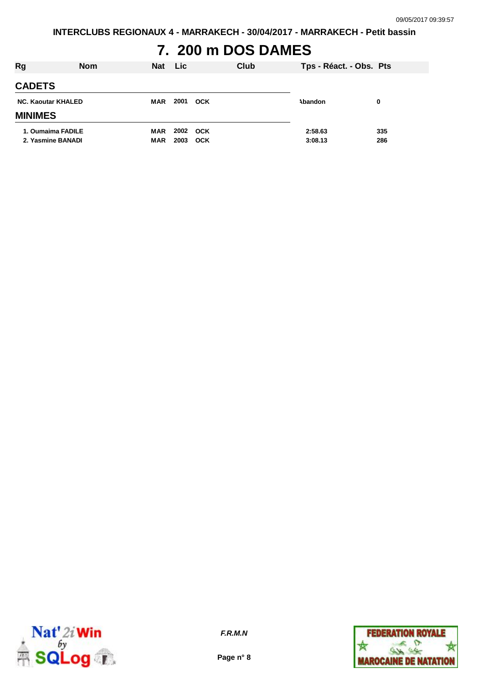**INTERCLUBS REGIONAUX 4 - MARRAKECH - 30/04/2017 - MARRAKECH - Petit bassin**

## **7. 200 m DOS DAMES**

| <b>Rg</b>                 | <b>Nom</b> | <b>Nat</b> | <b>Lic</b> |            | Club | Tps - Réact. - Obs. Pts |     |
|---------------------------|------------|------------|------------|------------|------|-------------------------|-----|
| <b>CADETS</b>             |            |            |            |            |      |                         |     |
| <b>NC. Kaoutar KHALED</b> |            | MAR        | 2001       | <b>OCK</b> |      | Abandon                 | 0   |
| <b>MINIMES</b>            |            |            |            |            |      |                         |     |
| 1. Oumaima FADILE         |            | <b>MAR</b> | 2002 OCK   |            |      | 2:58.63                 | 335 |
| 2. Yasmine BANADI         |            | <b>MAR</b> | 2003       | <b>OCK</b> |      | 3:08.13                 | 286 |



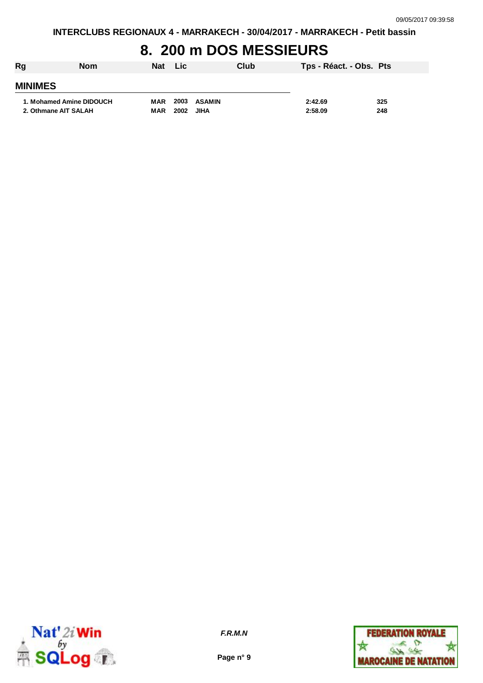## **8. 200 m DOS MESSIEURS**

| Rg             | <b>Nom</b>               | <b>Nat</b> | <b>Lic</b> | Club   | Tps - Réact. - Obs. Pts |     |
|----------------|--------------------------|------------|------------|--------|-------------------------|-----|
| <b>MINIMES</b> |                          |            |            |        |                         |     |
|                | 1. Mohamed Amine DIDOUCH | MAR        | 2003       | ASAMIN | 2:42.69                 | 325 |
|                | 2. Othmane AIT SALAH     | <b>MAR</b> | 2002       | JIHA   | 2:58.09                 | 248 |



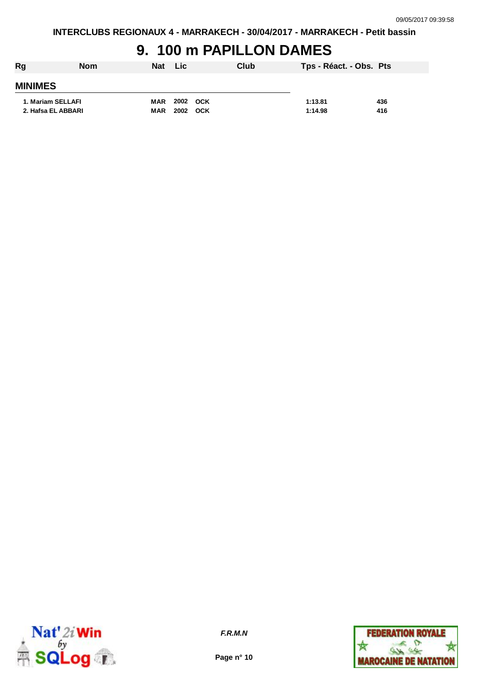#### **9. 100 m PAPILLON DAMES**

| Rg                 | <b>Nom</b> | <b>Nat</b> | Lic.     | Club | Tps - Réact. - Obs. Pts |     |
|--------------------|------------|------------|----------|------|-------------------------|-----|
| <b>MINIMES</b>     |            |            |          |      |                         |     |
| 1. Mariam SELLAFI  |            | MAR        | 2002 OCK |      | 1:13.81                 | 436 |
| 2. Hafsa EL ABBARI |            | <b>MAR</b> | 2002 OCK |      | 1:14.98                 | 416 |



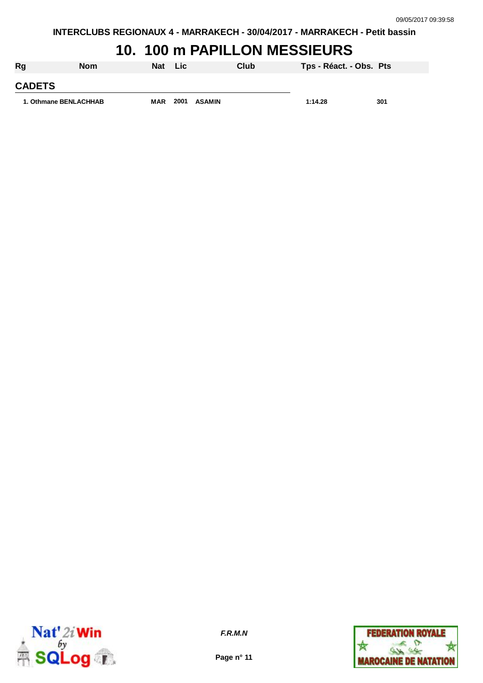#### **10. 100 m PAPILLON MESSIEURS**

| Rg                    | <b>Nom</b> | Nat        | - Lic |               | Club | Tps - Réact. - Obs. Pts |     |
|-----------------------|------------|------------|-------|---------------|------|-------------------------|-----|
| <b>CADETS</b>         |            |            |       |               |      |                         |     |
| 1. Othmane BENLACHHAB |            | <b>MAR</b> | 2001  | <b>ASAMIN</b> |      | 1:14.28                 | 301 |



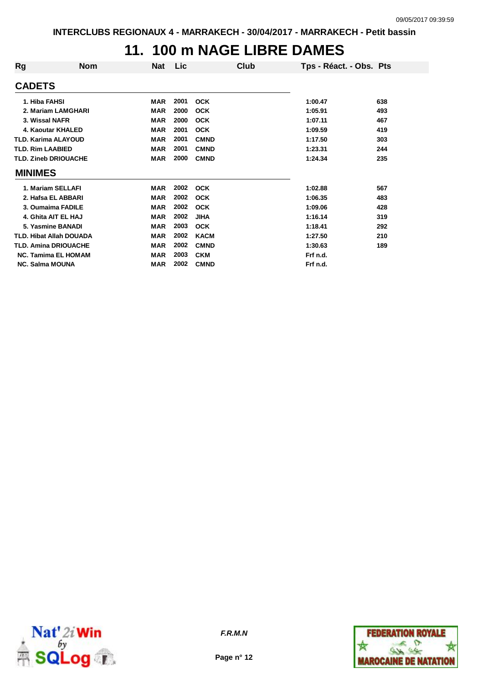#### **11. 100 m NAGE LIBRE DAMES**

| Rg                      | <b>Nom</b>                     | Nat        | Lic  | Club        | Tps - Réact. - Obs. Pts |     |
|-------------------------|--------------------------------|------------|------|-------------|-------------------------|-----|
| <b>CADETS</b>           |                                |            |      |             |                         |     |
| 1. Hiba FAHSI           |                                | <b>MAR</b> | 2001 | <b>OCK</b>  | 1:00.47                 | 638 |
|                         | 2. Mariam LAMGHARI             | <b>MAR</b> | 2000 | <b>OCK</b>  | 1:05.91                 | 493 |
| 3. Wissal NAFR          |                                | <b>MAR</b> | 2000 | <b>OCK</b>  | 1:07.11                 | 467 |
|                         | 4. Kaoutar KHALED              | <b>MAR</b> | 2001 | <b>OCK</b>  | 1:09.59                 | 419 |
|                         | <b>TLD. Karima ALAYOUD</b>     | <b>MAR</b> | 2001 | <b>CMND</b> | 1:17.50                 | 303 |
| <b>TLD. Rim LAABIED</b> |                                | <b>MAR</b> | 2001 | <b>CMND</b> | 1:23.31                 | 244 |
|                         | <b>TLD. Zineb DRIOUACHE</b>    | <b>MAR</b> | 2000 | <b>CMND</b> | 1:24.34                 | 235 |
| <b>MINIMES</b>          |                                |            |      |             |                         |     |
|                         | 1. Mariam SELLAFI              | <b>MAR</b> | 2002 | <b>OCK</b>  | 1:02.88                 | 567 |
|                         | 2. Hafsa EL ABBARI             | <b>MAR</b> | 2002 | <b>OCK</b>  | 1:06.35                 | 483 |
|                         | 3. Oumaima FADILE              | <b>MAR</b> | 2002 | <b>OCK</b>  | 1:09.06                 | 428 |
|                         | 4. Ghita AIT EL HAJ            | <b>MAR</b> | 2002 | <b>JIHA</b> | 1:16.14                 | 319 |
|                         | 5. Yasmine BANADI              | <b>MAR</b> | 2003 | <b>OCK</b>  | 1:18.41                 | 292 |
|                         | <b>TLD. Hibat Allah DOUADA</b> | <b>MAR</b> | 2002 | <b>KACM</b> | 1:27.50                 | 210 |
|                         | <b>TLD. Amina DRIOUACHE</b>    | <b>MAR</b> | 2002 | <b>CMND</b> | 1:30.63                 | 189 |
|                         | <b>NC. Tamima EL HOMAM</b>     | <b>MAR</b> | 2003 | <b>CKM</b>  | Frf n.d.                |     |
| <b>NC. Salma MOUNA</b>  |                                | <b>MAR</b> | 2002 | <b>CMND</b> | Frf n.d.                |     |



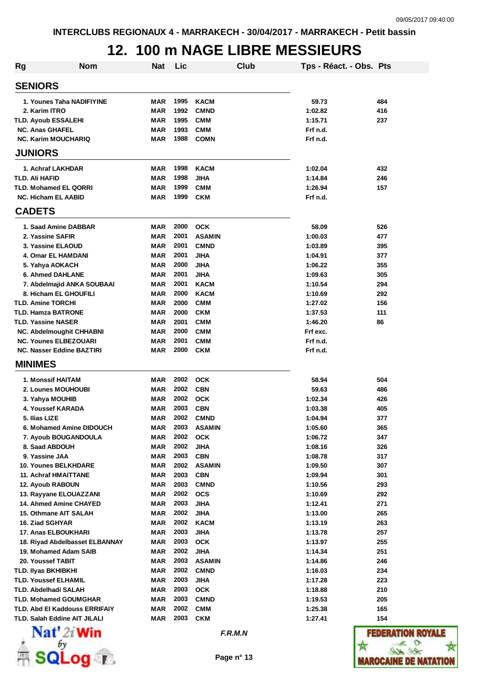## **12. 100 m NAGE LIBRE MESSIEURS**

| Rg | <b>Nom</b>                                                                  | <b>Nat</b> | Lic          |                              | Club | Tps - Réact. - Obs. Pts |                          |
|----|-----------------------------------------------------------------------------|------------|--------------|------------------------------|------|-------------------------|--------------------------|
|    | <b>SENIORS</b>                                                              |            |              |                              |      |                         |                          |
|    | 1. Younes Taha NADIFIYINE                                                   | MAR        | 1995         | <b>KACM</b>                  |      | 59.73                   | 484                      |
|    | 2. Karim ITRO                                                               | <b>MAR</b> | 1992         | <b>CMND</b>                  |      | 1:02.82                 | 416                      |
|    | <b>TLD. Ayoub ESSALEHI</b>                                                  | <b>MAR</b> | 1995         | <b>CMM</b>                   |      | 1:15.71                 | 237                      |
|    | <b>NC. Anas GHAFEL</b>                                                      | <b>MAR</b> | 1993         | <b>CMM</b>                   |      | Frf n.d.                |                          |
|    | <b>NC. Karim MOUCHARIQ</b>                                                  | <b>MAR</b> | 1988         | <b>COMN</b>                  |      | Frf n.d.                |                          |
|    | <b>JUNIORS</b>                                                              |            |              |                              |      |                         |                          |
|    | 1. Achraf LAKHDAR                                                           | MAR        | 1998         | <b>KACM</b>                  |      | 1:02.04                 | 432                      |
|    | TLD. Ali HAFID                                                              | <b>MAR</b> | 1998         | <b>JIHA</b>                  |      | 1:14.84                 | 246                      |
|    | <b>TLD. Mohamed EL QORRI</b>                                                | <b>MAR</b> | 1999         | <b>CMM</b>                   |      | 1:26.94                 | 157                      |
|    | <b>NC. Hicham EL AABID</b>                                                  | MAR        | 1999         | <b>CKM</b>                   |      | Frf n.d.                |                          |
|    | <b>CADETS</b>                                                               |            |              |                              |      |                         |                          |
|    | 1. Saad Amine DABBAR                                                        | <b>MAR</b> | 2000         | <b>OCK</b>                   |      | 58.09                   | 526                      |
|    | 2. Yassine SAFIR                                                            | <b>MAR</b> | 2001         | <b>ASAMIN</b>                |      | 1:00.03                 | 477                      |
|    | 3. Yassine ELAOUD                                                           | MAR        | 2001         | <b>CMND</b>                  |      | 1:03.89                 | 395                      |
|    | 4. Omar EL HAMDANI                                                          | MAR        | 2001         | <b>JIHA</b>                  |      | 1:04.91                 | 377                      |
|    | 5. Yahya AOKACH                                                             | MAR        | 2000         | <b>JIHA</b>                  |      | 1:06.22                 | 355                      |
|    | 6. Ahmed DAHLANE                                                            | <b>MAR</b> | 2001         | <b>JIHA</b>                  |      | 1:09.63                 | 305                      |
|    | 7. Abdelmajid ANKA SOUBAAI                                                  | <b>MAR</b> | 2001         | <b>KACM</b>                  |      | 1:10.54                 | 294                      |
|    | 8. Hicham EL GHOUFILI                                                       | <b>MAR</b> | 2000         | <b>KACM</b>                  |      | 1:10.69                 | 292                      |
|    | <b>TLD. Amine TORCHI</b>                                                    | <b>MAR</b> | 2000         | <b>CMM</b>                   |      | 1:27.02                 | 156                      |
|    | <b>TLD. Hamza BATRONE</b>                                                   | MAR        | 2000         | <b>CKM</b>                   |      | 1:37.53                 | 111                      |
|    | <b>TLD. Yassine NASER</b>                                                   | MAR        | 2001         | <b>CMM</b>                   |      | 1:46.20                 | 86                       |
|    | <b>NC. Abdelmoughit CHHABNI</b>                                             | MAR        | 2000         | <b>CMM</b>                   |      | Frf exc.                |                          |
|    | <b>NC. Younes ELBEZOUARI</b>                                                | MAR        | 2001         | <b>CMM</b>                   |      | Frf n.d.                |                          |
|    | <b>NC. Nasser Eddine BAZTIRI</b><br><b>MINIMES</b>                          | MAR        | 2000         | <b>CKM</b>                   |      | Frf n.d.                |                          |
|    |                                                                             |            |              |                              |      |                         |                          |
|    | <b>1. Monssif HAITAM</b>                                                    | MAR        | 2002         | <b>OCK</b>                   |      | 58.94                   | 504                      |
|    | 2. Lounes MOUHOUBI                                                          | <b>MAR</b> | 2002         | <b>CBN</b>                   |      | 59.63                   | 486                      |
|    | 3. Yahya MOUHIB                                                             | MAR        | 2002         | <b>OCK</b>                   |      | 1:02.34                 | 426                      |
|    | 4. Youssef KARADA                                                           | MAR        | 2003         | <b>CBN</b>                   |      | 1:03.38                 | 405                      |
|    | 5. Ilias LIZE                                                               | <b>MAR</b> | 2002         | <b>CMND</b>                  |      | 1:04.94                 | 377                      |
|    | 6. Mohamed Amine DIDOUCH                                                    | MAR        | 2003         | <b>ASAMIN</b>                |      | 1:05.60                 | 365                      |
|    | 7. Ayoub BOUGANDOULA                                                        | MAR        | 2002         | <b>OCK</b>                   |      | 1:06.72                 | 347                      |
|    | 8. Saad ABDOUH                                                              | MAR        | 2002         | <b>JIHA</b>                  |      | 1:08.16                 | 326                      |
|    | 9. Yassine JAA                                                              | MAR        | 2003         | <b>CBN</b>                   |      | 1:08.78                 | 317                      |
|    | <b>10. Younes BELKHDARE</b>                                                 | MAR        | 2002         | <b>ASAMIN</b>                |      | 1:09.50                 | 307                      |
|    | <b>11. Achraf HMAITTANE</b>                                                 | MAR        | 2003         | <b>CBN</b>                   |      | 1:09.94                 | 301                      |
|    | 12. Ayoub RABOUN                                                            | MAR        | 2003         | <b>CMND</b>                  |      | 1:10.56                 | 293                      |
|    | 13. Rayyane ELOUAZZANI                                                      | MAR        | 2002         | <b>OCS</b>                   |      | 1:10.69                 | 292                      |
|    | 14. Ahmed Amine CHAYED                                                      | MAR        | 2003         | <b>JIHA</b>                  |      | 1:12.41                 | 271                      |
|    | 15. Othmane AIT SALAH                                                       | MAR        | 2002         | <b>JIHA</b>                  |      | 1:13.00                 | 265                      |
|    | 16. Ziad SGHYAR                                                             | MAR        | 2002         | <b>KACM</b>                  |      | 1:13.19                 | 263                      |
|    | 17. Anas ELBOUKHARI                                                         | MAR        | 2003<br>2003 | <b>JIHA</b>                  |      | 1:13.78                 | 257                      |
|    | 18. Riyad Abdelbasset ELBANNAY                                              | MAR        | 2002         | <b>OCK</b>                   |      | 1:13.97                 | 255                      |
|    | 19. Mohamed Adam SAIB                                                       | <b>MAR</b> | 2003         | <b>JIHA</b>                  |      | 1:14.34                 | 251                      |
|    | 20. Youssef TABIT                                                           | <b>MAR</b> | 2002         | <b>ASAMIN</b><br><b>CMND</b> |      | 1:14.86                 | 246                      |
|    | <b>TLD. Ilyas BKHIBKHI</b>                                                  | MAR        |              |                              |      | 1:16.03                 | 234                      |
|    | <b>TLD. Youssef ELHAMIL</b>                                                 | MAR        | 2003         | <b>JIHA</b>                  |      | 1:17.28                 | 223                      |
|    | <b>TLD. Abdelhadi SALAH</b>                                                 | MAR        | 2003<br>2003 | <b>OCK</b>                   |      | 1:18.88                 | 210                      |
|    | <b>TLD. Mohamed GOUMGHAR</b>                                                | MAR        | 2002         | <b>CMND</b>                  |      | 1:19.53                 | 205                      |
|    | <b>TLD. Abd EI Kaddouss ERRIFAIY</b><br><b>TLD. Salah Eddine AIT JILALI</b> | MAR        | 2003         | <b>CMM</b><br><b>CKM</b>     |      | 1:25.38                 | 165                      |
|    | $\mathbf{Nat}'$ 2i Win                                                      | MAR        |              |                              |      | 1:27.41                 | 154<br><b>FEDERATION</b> |
|    |                                                                             |            |              | F.R.M.N                      |      |                         |                          |



**R** SQLog T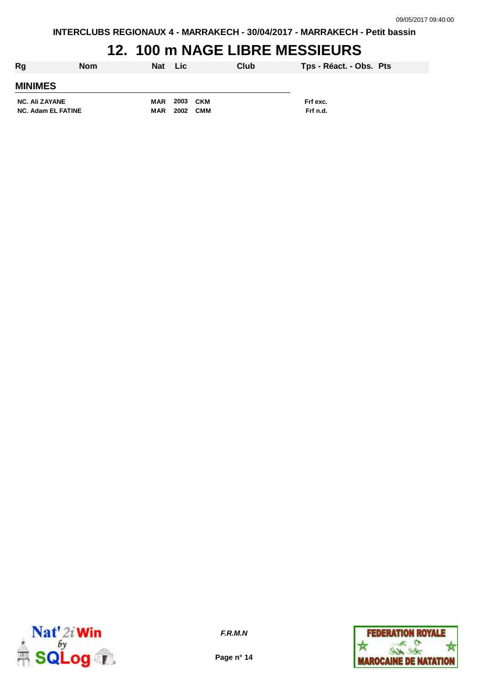**INTERCLUBS REGIONAUX 4 - MARRAKECH - 30/04/2017 - MARRAKECH - Petit bassin**

## **12. 100 m NAGE LIBRE MESSIEURS**

| Rg                    | <b>Nom</b> | Nat Lic    |          | Club       |          | Tps - Réact. - Obs. Pts |
|-----------------------|------------|------------|----------|------------|----------|-------------------------|
| <b>MINIMES</b>        |            |            |          |            |          |                         |
| <b>NC. Ali ZAYANE</b> |            | <b>MAR</b> | 2003 CKM |            | Frf exc. |                         |
| NC. Adam EL FATINE    |            | <b>MAR</b> | 2002     | <b>CMM</b> | Frf n.d. |                         |



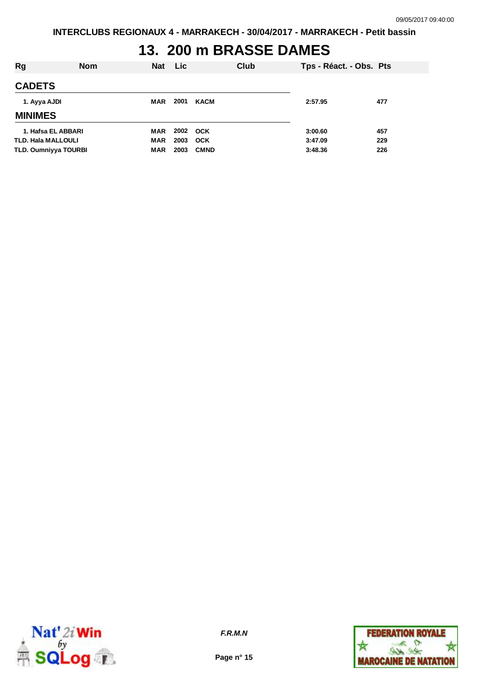## **13. 200 m BRASSE DAMES**

| Rg                          | <b>Nom</b> | <b>Nat</b> | Lic  |             | Club | Tps - Réact. - Obs. Pts |     |
|-----------------------------|------------|------------|------|-------------|------|-------------------------|-----|
| <b>CADETS</b>               |            |            |      |             |      |                         |     |
| 1. Ayya AJDI                |            | MAR        | 2001 | KACM        |      | 2:57.95                 | 477 |
| <b>MINIMES</b>              |            |            |      |             |      |                         |     |
| 1. Hafsa EL ABBARI          |            | MAR        | 2002 | OCK         |      | 3:00.60                 | 457 |
| <b>TLD. Hala MALLOULI</b>   |            | <b>MAR</b> | 2003 | <b>OCK</b>  |      | 3:47.09                 | 229 |
| <b>TLD. Oumniyya TOURBI</b> |            | MAR        | 2003 | <b>CMND</b> |      | 3:48.36                 | 226 |



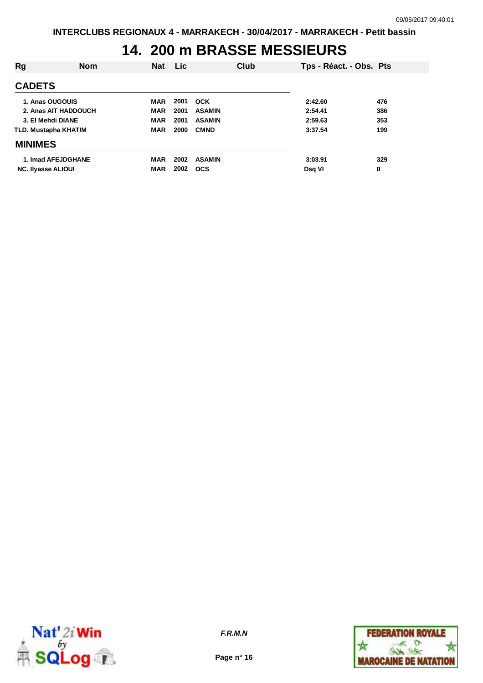### **14. 200 m BRASSE MESSIEURS**

| Rg                        | <b>Nom</b> | <b>Nat</b> | <b>Lic</b> |               | Club | Tps - Réact. - Obs. Pts |     |
|---------------------------|------------|------------|------------|---------------|------|-------------------------|-----|
| <b>CADETS</b>             |            |            |            |               |      |                         |     |
| 1. Anas OUGOUIS           |            | <b>MAR</b> | 2001       | <b>OCK</b>    |      | 2:42.60                 | 476 |
| 2. Anas AIT HADDOUCH      |            | <b>MAR</b> | 2001       | <b>ASAMIN</b> |      | 2:54.41                 | 386 |
| 3. El Mehdi DIANE         |            | <b>MAR</b> | 2001       | <b>ASAMIN</b> |      | 2:59.63                 | 353 |
| TLD. Mustapha KHATIM      |            | <b>MAR</b> | 2000       | <b>CMND</b>   |      | 3:37.54                 | 199 |
| <b>MINIMES</b>            |            |            |            |               |      |                         |     |
| 1. Imad AFEJDGHANE        |            | MAR        | 2002       | <b>ASAMIN</b> |      | 3:03.91                 | 329 |
| <b>NC. Ilyasse ALIOUI</b> |            | <b>MAR</b> | 2002       | <b>OCS</b>    |      | Dsg VI                  | 0   |



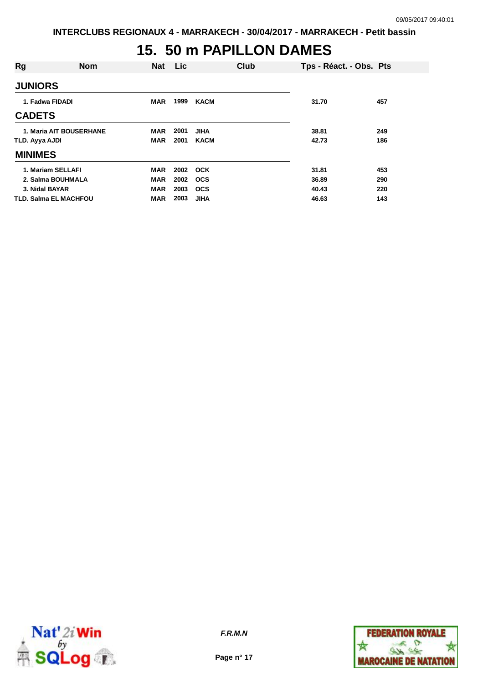#### **15. 50 m PAPILLON DAMES**

| <b>Rg</b>                      | <b>Nom</b> | <b>Nat</b> | Lic  |             | Club | Tps - Réact. - Obs. Pts |     |
|--------------------------------|------------|------------|------|-------------|------|-------------------------|-----|
| <b>JUNIORS</b>                 |            |            |      |             |      |                         |     |
| 1. Fadwa FIDADI                |            | <b>MAR</b> | 1999 | <b>KACM</b> |      | 31.70                   | 457 |
| <b>CADETS</b>                  |            |            |      |             |      |                         |     |
| <b>1. Maria AIT BOUSERHANE</b> |            | <b>MAR</b> | 2001 | <b>JIHA</b> |      | 38.81                   | 249 |
| TLD. Ayya AJDI                 |            | <b>MAR</b> | 2001 | <b>KACM</b> |      | 42.73                   | 186 |
| <b>MINIMES</b>                 |            |            |      |             |      |                         |     |
| 1. Mariam SELLAFI              |            | <b>MAR</b> | 2002 | <b>OCK</b>  |      | 31.81                   | 453 |
| 2. Salma BOUHMALA              |            | <b>MAR</b> | 2002 | <b>OCS</b>  |      | 36.89                   | 290 |
| 3. Nidal BAYAR                 |            | <b>MAR</b> | 2003 | <b>OCS</b>  |      | 40.43                   | 220 |
| <b>TLD. Salma EL MACHFOU</b>   |            | <b>MAR</b> | 2003 | <b>JIHA</b> |      | 46.63                   | 143 |



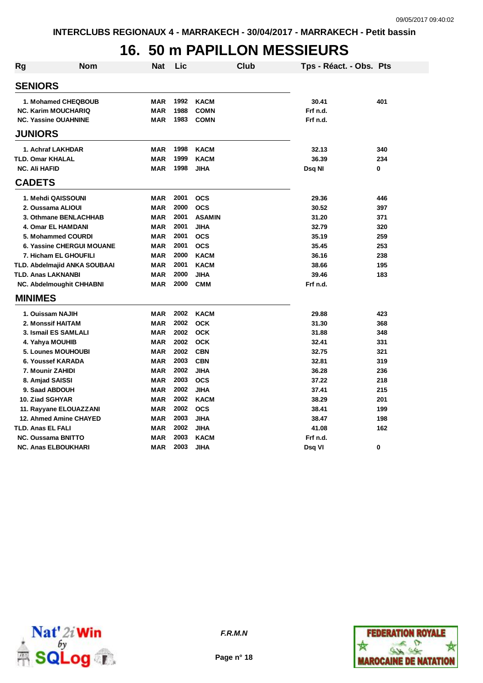## **16. 50 m PAPILLON MESSIEURS**

| <b>Rg</b> | Nom                              | <b>Nat</b> | Lic  |               | <b>Club</b> | Tps - Réact. - Obs. Pts |     |
|-----------|----------------------------------|------------|------|---------------|-------------|-------------------------|-----|
|           | <b>SENIORS</b>                   |            |      |               |             |                         |     |
|           | 1. Mohamed CHEQBOUB              | <b>MAR</b> | 1992 | <b>KACM</b>   |             | 30.41                   | 401 |
|           | <b>NC. Karim MOUCHARIQ</b>       | <b>MAR</b> | 1988 | <b>COMN</b>   |             | Frf n.d.                |     |
|           | <b>NC. Yassine OUAHNINE</b>      | <b>MAR</b> | 1983 | <b>COMN</b>   |             | Frf n.d.                |     |
|           | <b>JUNIORS</b>                   |            |      |               |             |                         |     |
|           | 1. Achraf LAKHDAR                | <b>MAR</b> | 1998 | <b>KACM</b>   |             | 32.13                   | 340 |
|           | <b>TLD. Omar KHALAL</b>          | <b>MAR</b> | 1999 | <b>KACM</b>   |             | 36.39                   | 234 |
|           | <b>NC. Ali HAFID</b>             | <b>MAR</b> | 1998 | <b>JIHA</b>   |             | Dsq NI                  | 0   |
|           | <b>CADETS</b>                    |            |      |               |             |                         |     |
|           | 1. Mehdi QAISSOUNI               | <b>MAR</b> | 2001 | <b>OCS</b>    |             | 29.36                   | 446 |
|           | 2. Oussama ALIOUI                | <b>MAR</b> | 2000 | <b>OCS</b>    |             | 30.52                   | 397 |
|           | 3. Othmane BENLACHHAB            | <b>MAR</b> | 2001 | <b>ASAMIN</b> |             | 31.20                   | 371 |
|           | 4. Omar EL HAMDANI               | <b>MAR</b> | 2001 | <b>JIHA</b>   |             | 32.79                   | 320 |
|           | 5. Mohammed COURDI               | <b>MAR</b> | 2001 | <b>OCS</b>    |             | 35.19                   | 259 |
|           | <b>6. Yassine CHERGUI MOUANE</b> | <b>MAR</b> | 2001 | <b>OCS</b>    |             | 35.45                   | 253 |
|           | 7. Hicham EL GHOUFILI            | <b>MAR</b> | 2000 | <b>KACM</b>   |             | 36.16                   | 238 |
|           | TLD. Abdelmajid ANKA SOUBAAI     | <b>MAR</b> | 2001 | <b>KACM</b>   |             | 38.66                   | 195 |
|           | <b>TLD. Anas LAKNANBI</b>        | <b>MAR</b> | 2000 | <b>JIHA</b>   |             | 39.46                   | 183 |
|           | <b>NC. Abdelmoughit CHHABNI</b>  | <b>MAR</b> | 2000 | <b>CMM</b>    |             | Frf n.d.                |     |
|           | <b>MINIMES</b>                   |            |      |               |             |                         |     |
|           | 1. Ouissam NAJIH                 | <b>MAR</b> | 2002 | <b>KACM</b>   |             | 29.88                   | 423 |
|           | 2. Monssif HAITAM                | <b>MAR</b> | 2002 | <b>OCK</b>    |             | 31.30                   | 368 |
|           | 3. Ismail ES SAMLALI             | <b>MAR</b> | 2002 | <b>OCK</b>    |             | 31.88                   | 348 |
|           | 4. Yahya MOUHIB                  | <b>MAR</b> | 2002 | <b>OCK</b>    |             | 32.41                   | 331 |
|           | 5. Lounes MOUHOUBI               | <b>MAR</b> | 2002 | <b>CBN</b>    |             | 32.75                   | 321 |
|           | 6. Youssef KARADA                | <b>MAR</b> | 2003 | <b>CBN</b>    |             | 32.81                   | 319 |
|           | 7. Mounir ZAHIDI                 | <b>MAR</b> | 2002 | <b>JIHA</b>   |             | 36.28                   | 236 |
|           | 8. Amjad SAISSI                  | <b>MAR</b> | 2003 | <b>OCS</b>    |             | 37.22                   | 218 |
|           | 9. Saad ABDOUH                   | <b>MAR</b> | 2002 | <b>JIHA</b>   |             | 37.41                   | 215 |
|           | 10. Ziad SGHYAR                  | <b>MAR</b> | 2002 | <b>KACM</b>   |             | 38.29                   | 201 |
|           | 11. Rayyane ELOUAZZANI           | <b>MAR</b> | 2002 | <b>OCS</b>    |             | 38.41                   | 199 |
|           | 12. Ahmed Amine CHAYED           | <b>MAR</b> | 2003 | <b>JIHA</b>   |             | 38.47                   | 198 |
|           | <b>TLD. Anas EL FALI</b>         | <b>MAR</b> | 2002 | <b>JIHA</b>   |             | 41.08                   | 162 |
|           | <b>NC. Oussama BNITTO</b>        | <b>MAR</b> | 2003 | <b>KACM</b>   |             | Frf n.d.                |     |
|           | <b>NC. Anas ELBOUKHARI</b>       | <b>MAR</b> | 2003 | <b>JIHA</b>   |             | Dsq VI                  | 0   |





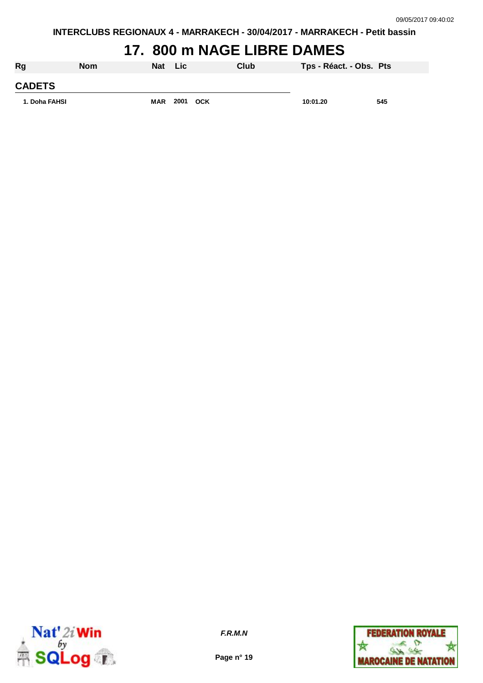**INTERCLUBS REGIONAUX 4 - MARRAKECH - 30/04/2017 - MARRAKECH - Petit bassin**

### **17. 800 m NAGE LIBRE DAMES**

| Rg            | <b>Nom</b> | Nat Lic    |      |            | Club | Tps - Réact. - Obs. Pts |     |
|---------------|------------|------------|------|------------|------|-------------------------|-----|
| <b>CADETS</b> |            |            |      |            |      |                         |     |
| 1. Doha FAHSI |            | <b>MAR</b> | 2001 | <b>OCK</b> |      | 10:01.20                | 545 |



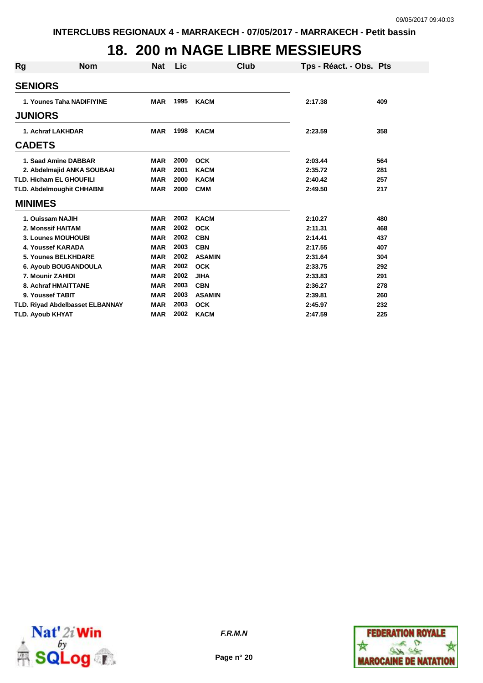## **18. 200 m NAGE LIBRE MESSIEURS**

| <b>Rg</b> | <b>Nom</b>                       | <b>Nat</b> | Lic  | Club          | Tps - Réact. - Obs. Pts |     |
|-----------|----------------------------------|------------|------|---------------|-------------------------|-----|
|           | <b>SENIORS</b>                   |            |      |               |                         |     |
|           | 1. Younes Taha NADIFIYINE        | <b>MAR</b> | 1995 | <b>KACM</b>   | 2:17.38                 | 409 |
|           | <b>JUNIORS</b>                   |            |      |               |                         |     |
|           | 1. Achraf LAKHDAR                | <b>MAR</b> | 1998 | <b>KACM</b>   | 2:23.59                 | 358 |
|           | <b>CADETS</b>                    |            |      |               |                         |     |
|           | 1. Saad Amine DABBAR             | <b>MAR</b> | 2000 | <b>OCK</b>    | 2:03.44                 | 564 |
|           | 2. Abdelmajid ANKA SOUBAAI       | <b>MAR</b> | 2001 | <b>KACM</b>   | 2:35.72                 | 281 |
|           | <b>TLD. Hicham EL GHOUFILI</b>   | <b>MAR</b> | 2000 | <b>KACM</b>   | 2:40.42                 | 257 |
|           | <b>TLD. Abdelmoughit CHHABNI</b> | <b>MAR</b> | 2000 | <b>CMM</b>    | 2:49.50                 | 217 |
|           | <b>MINIMES</b>                   |            |      |               |                         |     |
|           | 1. Ouissam NAJIH                 | <b>MAR</b> | 2002 | <b>KACM</b>   | 2:10.27                 | 480 |
|           | 2. Monssif HAITAM                | <b>MAR</b> | 2002 | <b>OCK</b>    | 2:11.31                 | 468 |
|           | 3. Lounes MOUHOUBI               | <b>MAR</b> | 2002 | <b>CBN</b>    | 2:14.41                 | 437 |
|           | 4. Youssef KARADA                | <b>MAR</b> | 2003 | <b>CBN</b>    | 2:17.55                 | 407 |
|           | 5. Younes BELKHDARE              | <b>MAR</b> | 2002 | <b>ASAMIN</b> | 2:31.64                 | 304 |
|           | 6. Ayoub BOUGANDOULA             | <b>MAR</b> | 2002 | <b>OCK</b>    | 2:33.75                 | 292 |
|           | 7. Mounir ZAHIDI                 | <b>MAR</b> | 2002 | <b>JIHA</b>   | 2:33.83                 | 291 |
|           | 8. Achraf HMAITTANE              | <b>MAR</b> | 2003 | <b>CBN</b>    | 2:36.27                 | 278 |
|           | 9. Youssef TABIT                 | <b>MAR</b> | 2003 | <b>ASAMIN</b> | 2:39.81                 | 260 |
|           | TLD. Riyad Abdelbasset ELBANNAY  | <b>MAR</b> | 2003 | <b>OCK</b>    | 2:45.97                 | 232 |
|           | <b>TLD. Ayoub KHYAT</b>          | <b>MAR</b> | 2002 | <b>KACM</b>   | 2:47.59                 | 225 |





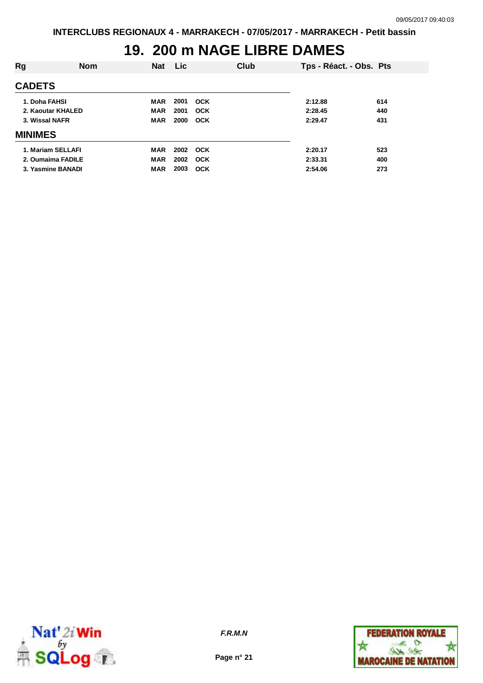## **19. 200 m NAGE LIBRE DAMES**

| Rg                | <b>Nom</b> | <b>Nat</b> | <b>Lic</b> |            | Club | Tps - Réact. - Obs. Pts |     |
|-------------------|------------|------------|------------|------------|------|-------------------------|-----|
| <b>CADETS</b>     |            |            |            |            |      |                         |     |
| 1. Doha FAHSI     |            | <b>MAR</b> | 2001       | <b>OCK</b> |      | 2:12.88                 | 614 |
| 2. Kaoutar KHALED |            | <b>MAR</b> | 2001       | <b>OCK</b> |      | 2:28.45                 | 440 |
| 3. Wissal NAFR    |            | <b>MAR</b> | 2000       | <b>OCK</b> |      | 2:29.47                 | 431 |
| <b>MINIMES</b>    |            |            |            |            |      |                         |     |
| 1. Mariam SELLAFI |            | <b>MAR</b> | 2002       | <b>OCK</b> |      | 2:20.17                 | 523 |
| 2. Oumaima FADILE |            | <b>MAR</b> | 2002       | <b>OCK</b> |      | 2:33.31                 | 400 |
| 3. Yasmine BANADI |            | <b>MAR</b> | 2003       | <b>OCK</b> |      | 2:54.06                 | 273 |



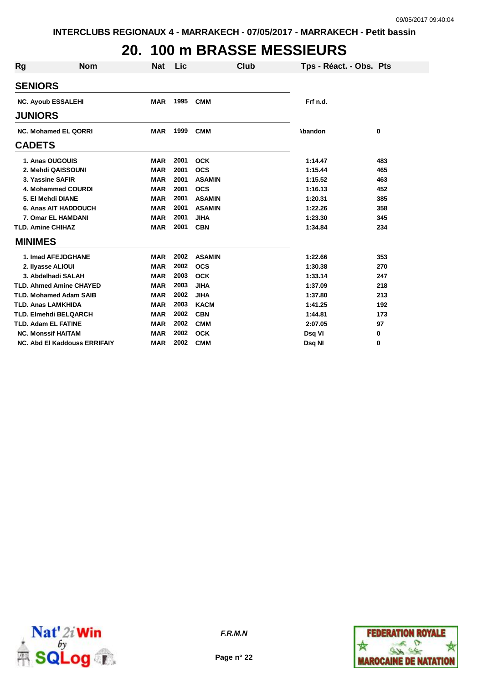# **20. 100 m BRASSE MESSIEURS**

| Rg                          | <b>Nom</b>                     | <b>Nat</b> | Lic  | Club          |          | Tps - Réact. - Obs. Pts |
|-----------------------------|--------------------------------|------------|------|---------------|----------|-------------------------|
| <b>SENIORS</b>              |                                |            |      |               |          |                         |
|                             | <b>NC. Ayoub ESSALEHI</b>      | <b>MAR</b> | 1995 | <b>CMM</b>    | Frf n.d. |                         |
| <b>JUNIORS</b>              |                                |            |      |               |          |                         |
| <b>NC. Mohamed EL QORRI</b> |                                | <b>MAR</b> | 1999 | <b>CMM</b>    | Abandon  | 0                       |
| <b>CADETS</b>               |                                |            |      |               |          |                         |
|                             | 1. Anas OUGOUIS                | <b>MAR</b> | 2001 | <b>OCK</b>    | 1:14.47  | 483                     |
|                             | 2. Mehdi QAISSOUNI             | <b>MAR</b> | 2001 | <b>OCS</b>    | 1:15.44  | 465                     |
|                             | 3. Yassine SAFIR               | <b>MAR</b> | 2001 | <b>ASAMIN</b> | 1:15.52  | 463                     |
|                             | 4. Mohammed COURDI             | <b>MAR</b> | 2001 | <b>OCS</b>    | 1:16.13  | 452                     |
|                             | 5. El Mehdi DIANE              | <b>MAR</b> | 2001 | <b>ASAMIN</b> | 1:20.31  | 385                     |
|                             | 6. Anas AIT HADDOUCH           | <b>MAR</b> | 2001 | <b>ASAMIN</b> | 1:22.26  | 358                     |
|                             | 7. Omar EL HAMDANI             | <b>MAR</b> | 2001 | <b>JIHA</b>   | 1:23.30  | 345                     |
| <b>TLD. Amine CHIHAZ</b>    |                                | <b>MAR</b> | 2001 | <b>CBN</b>    | 1:34.84  | 234                     |
| <b>MINIMES</b>              |                                |            |      |               |          |                         |
|                             | 1. Imad AFEJDGHANE             | <b>MAR</b> | 2002 | <b>ASAMIN</b> | 1:22.66  | 353                     |
|                             | 2. Ilyasse ALIOUI              | <b>MAR</b> | 2002 | <b>OCS</b>    | 1:30.38  | 270                     |
|                             | 3. Abdelhadi SALAH             | <b>MAR</b> | 2003 | <b>OCK</b>    | 1:33.14  | 247                     |
|                             | <b>TLD. Ahmed Amine CHAYED</b> | <b>MAR</b> | 2003 | <b>JIHA</b>   | 1:37.09  | 218                     |
|                             | <b>TLD. Mohamed Adam SAIB</b>  | <b>MAR</b> | 2002 | <b>JIHA</b>   | 1:37.80  | 213                     |
| <b>TLD. Anas LAMKHIDA</b>   |                                | <b>MAR</b> | 2003 | <b>KACM</b>   | 1:41.25  | 192                     |
|                             | <b>TLD. Elmehdi BELQARCH</b>   | <b>MAR</b> | 2002 | <b>CBN</b>    | 1:44.81  | 173                     |
| <b>TLD. Adam EL FATINE</b>  |                                | <b>MAR</b> | 2002 | <b>CMM</b>    | 2:07.05  | 97                      |
|                             | <b>NC. Monssif HAITAM</b>      |            | 2002 | <b>OCK</b>    | Dsq VI   | 0                       |
|                             | NC. Abd El Kaddouss ERRIFAIY   | <b>MAR</b> | 2002 | <b>CMM</b>    | Dsq NI   | 0                       |



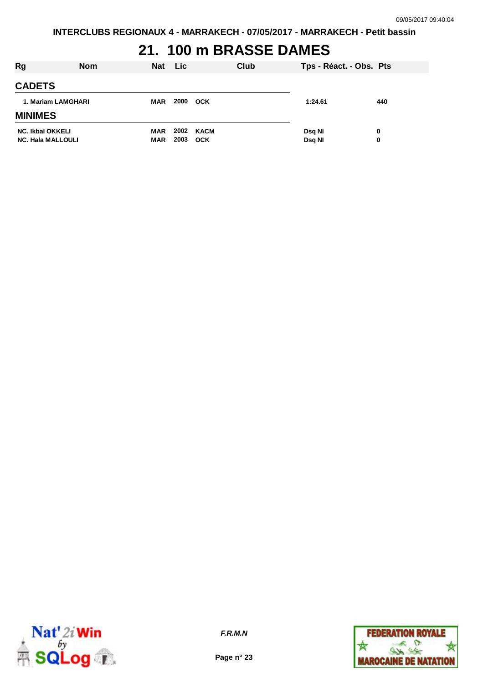# **21. 100 m BRASSE DAMES**

| Rg                                                  | <b>Nom</b> | <b>Nat</b>        | <b>Lic</b>   | Club               | Tps - Réact. - Obs. Pts |        |
|-----------------------------------------------------|------------|-------------------|--------------|--------------------|-------------------------|--------|
| <b>CADETS</b>                                       |            |                   |              |                    |                         |        |
| 1. Mariam LAMGHARI                                  |            | <b>MAR</b>        | 2000         | <b>OCK</b>         | 1:24.61                 | 440    |
| <b>MINIMES</b>                                      |            |                   |              |                    |                         |        |
| <b>NC. Ikbal OKKELI</b><br><b>NC. Hala MALLOULI</b> |            | MAR<br><b>MAR</b> | 2002<br>2003 | KACM<br><b>OCK</b> | Dsq NI<br>Dsq NI        | 0<br>0 |



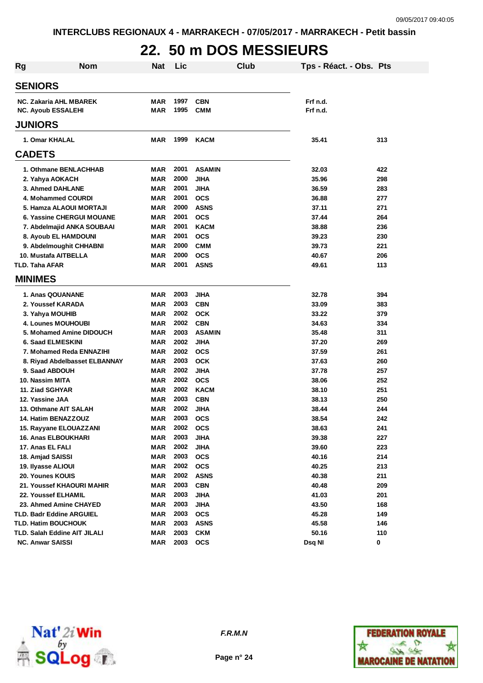# **22. 50 m DOS MESSIEURS**

| <b>Rg</b>                        | <b>Nom</b>                    | <b>Nat</b> | Lic  |               | Club | Tps - Réact. - Obs. Pts |     |
|----------------------------------|-------------------------------|------------|------|---------------|------|-------------------------|-----|
| <b>SENIORS</b>                   |                               |            |      |               |      |                         |     |
| NC. Zakaria AHL MBAREK           |                               | MAR        | 1997 | <b>CBN</b>    |      | Frf n.d.                |     |
| <b>NC. Ayoub ESSALEHI</b>        |                               | <b>MAR</b> | 1995 | <b>CMM</b>    |      | Frf n.d.                |     |
| <b>JUNIORS</b>                   |                               |            |      |               |      |                         |     |
| 1. Omar KHALAL                   |                               | MAR        | 1999 | <b>KACM</b>   |      | 35.41                   | 313 |
| <b>CADETS</b>                    |                               |            |      |               |      |                         |     |
| 1. Othmane BENLACHHAB            |                               | <b>MAR</b> | 2001 | <b>ASAMIN</b> |      | 32.03                   | 422 |
| 2. Yahya AOKACH                  |                               | MAR        | 2000 | <b>JIHA</b>   |      | 35.96                   | 298 |
| 3. Ahmed DAHLANE                 |                               | <b>MAR</b> | 2001 | <b>JIHA</b>   |      | 36.59                   | 283 |
| 4. Mohammed COURDI               |                               | <b>MAR</b> | 2001 | <b>OCS</b>    |      | 36.88                   | 277 |
| 5. Hamza ALAOUI MORTAJI          |                               | <b>MAR</b> | 2000 | <b>ASNS</b>   |      | 37.11                   | 271 |
| <b>6. Yassine CHERGUI MOUANE</b> |                               | <b>MAR</b> | 2001 | <b>OCS</b>    |      | 37.44                   | 264 |
| 7. Abdelmajid ANKA SOUBAAI       |                               | <b>MAR</b> | 2001 | <b>KACM</b>   |      | 38.88                   | 236 |
| 8. Ayoub EL HAMDOUNI             |                               | <b>MAR</b> | 2001 | <b>OCS</b>    |      | 39.23                   | 230 |
| 9. Abdelmoughit CHHABNI          |                               | <b>MAR</b> | 2000 | <b>CMM</b>    |      | 39.73                   | 221 |
| 10. Mustafa AITBELLA             |                               | <b>MAR</b> | 2000 | <b>OCS</b>    |      | 40.67                   | 206 |
| <b>TLD. Taha AFAR</b>            |                               | <b>MAR</b> | 2001 | <b>ASNS</b>   |      | 49.61                   | 113 |
| <b>MINIMES</b>                   |                               |            |      |               |      |                         |     |
| 1. Anas QOUANANE                 |                               | <b>MAR</b> | 2003 | <b>JIHA</b>   |      | 32.78                   | 394 |
| 2. Youssef KARADA                |                               | <b>MAR</b> | 2003 | <b>CBN</b>    |      | 33.09                   | 383 |
| 3. Yahya MOUHIB                  |                               | <b>MAR</b> | 2002 | <b>OCK</b>    |      | 33.22                   | 379 |
| <b>4. Lounes MOUHOUBI</b>        |                               | <b>MAR</b> | 2002 | <b>CBN</b>    |      | 34.63                   | 334 |
| 5. Mohamed Amine DIDOUCH         |                               | <b>MAR</b> | 2003 | <b>ASAMIN</b> |      | 35.48                   | 311 |
| 6. Saad ELMESKINI                |                               | MAR        | 2002 | <b>JIHA</b>   |      | 37.20                   | 269 |
| 7. Mohamed Reda ENNAZIHI         |                               | <b>MAR</b> | 2002 | <b>OCS</b>    |      | 37.59                   | 261 |
|                                  | 8. Riyad Abdelbasset ELBANNAY | <b>MAR</b> | 2003 | <b>OCK</b>    |      | 37.63                   | 260 |
| 9. Saad ABDOUH                   |                               | <b>MAR</b> | 2002 | <b>JIHA</b>   |      | 37.78                   | 257 |
| 10. Nassim MITA                  |                               | <b>MAR</b> | 2002 | <b>OCS</b>    |      | 38.06                   | 252 |
| 11. Ziad SGHYAR                  |                               | <b>MAR</b> | 2002 | <b>KACM</b>   |      | 38.10                   | 251 |
| 12. Yassine JAA                  |                               | MAR        | 2003 | <b>CBN</b>    |      | 38.13                   | 250 |
| 13. Othmane AIT SALAH            |                               | MAR        | 2002 | <b>JIHA</b>   |      | 38.44                   | 244 |
| 14. Hatim BENAZZOUZ              |                               | <b>MAR</b> | 2003 | <b>OCS</b>    |      | 38.54                   | 242 |
| 15. Rayyane ELOUAZZANI           |                               | MAR        | 2002 | <b>OCS</b>    |      | 38.63                   | 241 |
| 16. Anas ELBOUKHARI              |                               | <b>MAR</b> | 2003 | <b>JIHA</b>   |      | 39.38                   | 227 |
| 17. Anas EL FALI                 |                               | <b>MAR</b> | 2002 | <b>JIHA</b>   |      | 39.60                   | 223 |
| 18. Amjad SAISSI                 |                               | <b>MAR</b> | 2003 | <b>OCS</b>    |      | 40.16                   | 214 |
| 19. Ilyasse ALIOUI               |                               | <b>MAR</b> | 2002 | <b>OCS</b>    |      | 40.25                   | 213 |
| 20. Younes KOUIS                 |                               | <b>MAR</b> | 2002 | <b>ASNS</b>   |      | 40.38                   | 211 |
| 21. Youssef KHAOURI MAHIR        |                               | <b>MAR</b> | 2003 | <b>CBN</b>    |      | 40.48                   | 209 |
| 22. Youssef ELHAMIL              |                               | <b>MAR</b> | 2003 | <b>JIHA</b>   |      | 41.03                   | 201 |
| 23. Ahmed Amine CHAYED           |                               | <b>MAR</b> | 2003 | <b>JIHA</b>   |      | 43.50                   | 168 |
| <b>TLD. Badr Eddine ARGUIEL</b>  |                               | <b>MAR</b> | 2003 | <b>OCS</b>    |      | 45.28                   | 149 |
| <b>TLD. Hatim BOUCHOUK</b>       |                               | <b>MAR</b> | 2003 | <b>ASNS</b>   |      | 45.58                   | 146 |
| TLD. Salah Eddine AIT JILALI     |                               | <b>MAR</b> | 2003 | <b>CKM</b>    |      | 50.16                   | 110 |
| <b>NC. Anwar SAISSI</b>          |                               | <b>MAR</b> | 2003 | <b>OCS</b>    |      | Dsq NI                  | 0   |



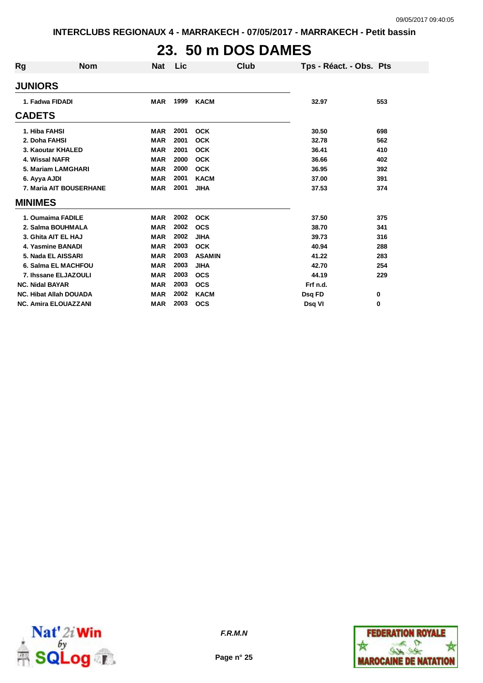# **23. 50 m DOS DAMES**

| Rg                     | <b>Nom</b>                    | <b>Nat</b> | Lic  | Club          | Tps - Réact. - Obs. Pts |     |
|------------------------|-------------------------------|------------|------|---------------|-------------------------|-----|
| <b>JUNIORS</b>         |                               |            |      |               |                         |     |
|                        | 1. Fadwa FIDADI               | <b>MAR</b> | 1999 | <b>KACM</b>   | 32.97                   | 553 |
| <b>CADETS</b>          |                               |            |      |               |                         |     |
| 1. Hiba FAHSI          |                               | <b>MAR</b> | 2001 | <b>OCK</b>    | 30.50                   | 698 |
| 2. Doha FAHSI          |                               | <b>MAR</b> | 2001 | <b>OCK</b>    | 32.78                   | 562 |
|                        | 3. Kaoutar KHALED             | <b>MAR</b> | 2001 | <b>OCK</b>    | 36.41                   | 410 |
|                        | 4. Wissal NAFR                | <b>MAR</b> | 2000 | <b>OCK</b>    | 36.66                   | 402 |
|                        | 5. Mariam LAMGHARI            | <b>MAR</b> | 2000 | <b>OCK</b>    | 36.95                   | 392 |
| 6. Ayya AJDI           |                               | <b>MAR</b> | 2001 | <b>KACM</b>   | 37.00                   | 391 |
|                        | 7. Maria AIT BOUSERHANE       | <b>MAR</b> | 2001 | <b>JIHA</b>   | 37.53                   | 374 |
| <b>MINIMES</b>         |                               |            |      |               |                         |     |
|                        | 1. Oumaima FADILE             | <b>MAR</b> | 2002 | <b>OCK</b>    | 37.50                   | 375 |
|                        | 2. Salma BOUHMALA             | <b>MAR</b> | 2002 | <b>OCS</b>    | 38.70                   | 341 |
|                        | 3. Ghita AIT EL HAJ           | <b>MAR</b> | 2002 | <b>JIHA</b>   | 39.73                   | 316 |
|                        | 4. Yasmine BANADI             | <b>MAR</b> | 2003 | <b>OCK</b>    | 40.94                   | 288 |
|                        | 5. Nada EL AISSARI            | <b>MAR</b> | 2003 | <b>ASAMIN</b> | 41.22                   | 283 |
|                        | 6. Salma EL MACHFOU           | <b>MAR</b> | 2003 | <b>JIHA</b>   | 42.70                   | 254 |
|                        | 7. Ihssane ELJAZOULI          | <b>MAR</b> | 2003 | <b>OCS</b>    | 44.19                   | 229 |
| <b>NC. Nidal BAYAR</b> |                               | <b>MAR</b> | 2003 | <b>OCS</b>    | Frf n.d.                |     |
|                        | <b>NC. Hibat Allah DOUADA</b> | <b>MAR</b> | 2002 | <b>KACM</b>   | Dsq FD                  | 0   |
|                        | <b>NC. Amira ELOUAZZANI</b>   | <b>MAR</b> | 2003 | <b>OCS</b>    | Dsg VI                  | 0   |



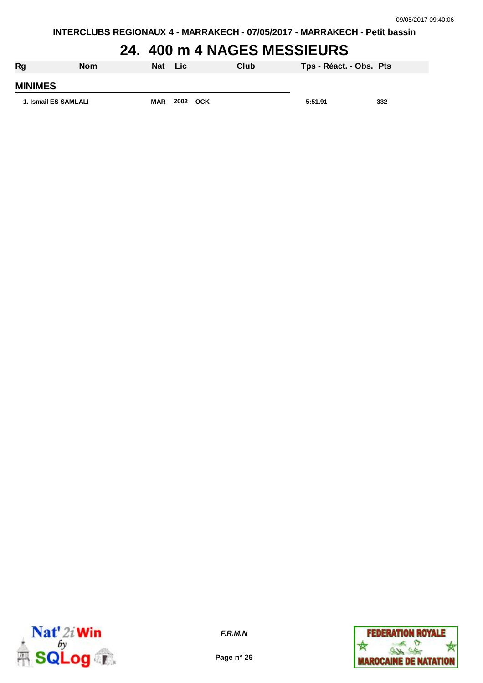**INTERCLUBS REGIONAUX 4 - MARRAKECH - 07/05/2017 - MARRAKECH - Petit bassin**

## **24. 400 m 4 NAGES MESSIEURS**

| Rg                   | <b>Nom</b> | <b>Nat</b> | Lic  |            | Club | Tps - Réact. - Obs. Pts |     |
|----------------------|------------|------------|------|------------|------|-------------------------|-----|
| <b>MINIMES</b>       |            |            |      |            |      |                         |     |
| 1. Ismail ES SAMLALI |            | <b>MAR</b> | 2002 | <b>OCK</b> |      | 5:51.91                 | 332 |



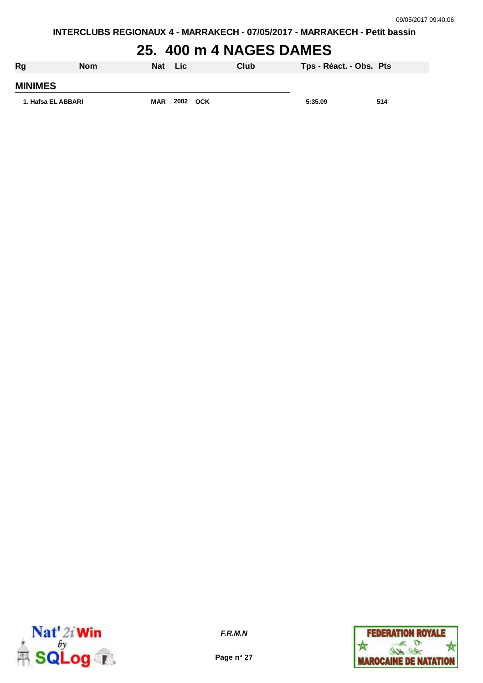#### **25. 400 m 4 NAGES DAMES**

| Rg                 | <b>Nom</b> | Nat        | <b>Lic</b> | Club | Tps - Réact. - Obs. Pts |     |
|--------------------|------------|------------|------------|------|-------------------------|-----|
| <b>MINIMES</b>     |            |            |            |      |                         |     |
| 1. Hafsa EL ABBARI |            | <b>MAR</b> | 2002 OCK   |      | 5:35.09                 | 514 |



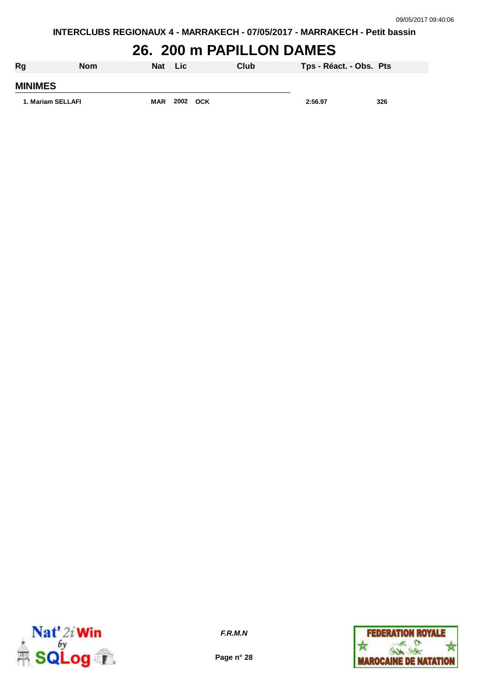**INTERCLUBS REGIONAUX 4 - MARRAKECH - 07/05/2017 - MARRAKECH - Petit bassin**

## **26. 200 m PAPILLON DAMES**

| Rg                | <b>Nom</b> | Nat Lic    |      |            | Club | Tps - Réact. - Obs. Pts |     |
|-------------------|------------|------------|------|------------|------|-------------------------|-----|
| <b>MINIMES</b>    |            |            |      |            |      |                         |     |
| 1. Mariam SELLAFI |            | <b>MAR</b> | 2002 | <b>OCK</b> |      | 2:56.97                 | 326 |



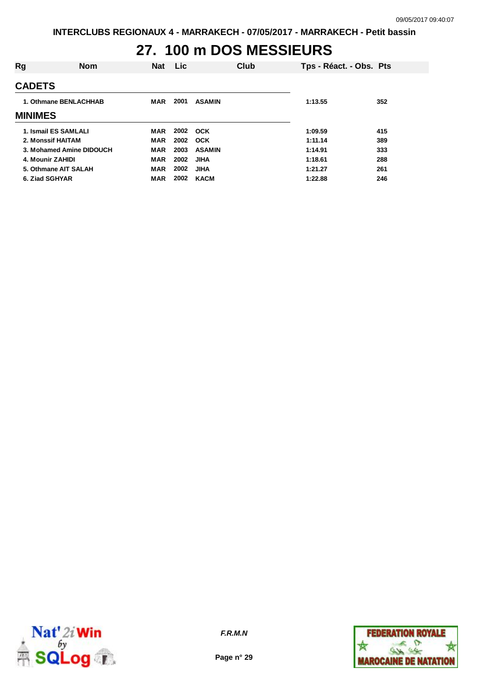# **27. 100 m DOS MESSIEURS**

| Rg                | <b>Nom</b>               | <b>Nat</b> | Lic. |               | Club | Tps - Réact. - Obs. Pts |     |
|-------------------|--------------------------|------------|------|---------------|------|-------------------------|-----|
| <b>CADETS</b>     |                          |            |      |               |      |                         |     |
|                   | 1. Othmane BENLACHHAB    | <b>MAR</b> | 2001 | <b>ASAMIN</b> |      | 1:13.55                 | 352 |
| <b>MINIMES</b>    |                          |            |      |               |      |                         |     |
|                   | 1. Ismail ES SAMLALI     | MAR        | 2002 | <b>OCK</b>    |      | 1:09.59                 | 415 |
| 2. Monssif HAITAM |                          | <b>MAR</b> | 2002 | <b>OCK</b>    |      | 1:11.14                 | 389 |
|                   | 3. Mohamed Amine DIDOUCH | <b>MAR</b> | 2003 | <b>ASAMIN</b> |      | 1:14.91                 | 333 |
| 4. Mounir ZAHIDI  |                          | <b>MAR</b> | 2002 | <b>JIHA</b>   |      | 1:18.61                 | 288 |
|                   | 5. Othmane AIT SALAH     | <b>MAR</b> | 2002 | <b>JIHA</b>   |      | 1:21.27                 | 261 |
| 6. Ziad SGHYAR    |                          | <b>MAR</b> | 2002 | <b>KACM</b>   |      | 1:22.88                 | 246 |



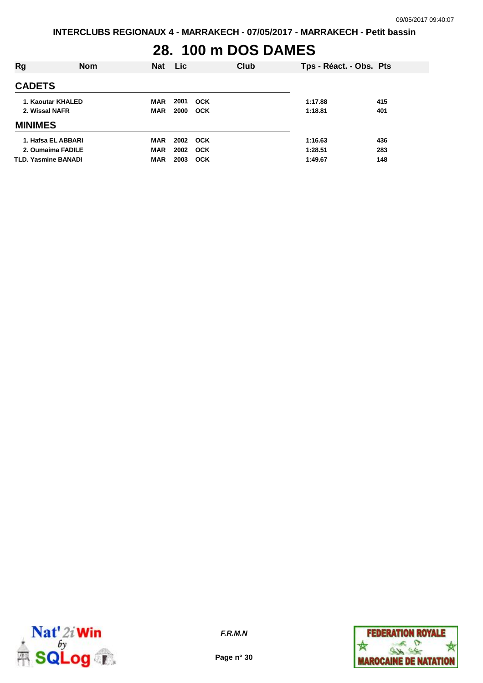### **28. 100 m DOS DAMES**

| Rg                                                                    | <b>Nom</b> | <b>Nat</b>                             | <b>Lic</b>               |                          | Club | Tps - Réact. - Obs. Pts       |                   |
|-----------------------------------------------------------------------|------------|----------------------------------------|--------------------------|--------------------------|------|-------------------------------|-------------------|
| <b>CADETS</b>                                                         |            |                                        |                          |                          |      |                               |                   |
| 1. Kaoutar KHALED<br>2. Wissal NAFR                                   |            | MAR<br><b>MAR</b>                      | 2001<br>2000             | <b>OCK</b><br><b>OCK</b> |      | 1:17.88<br>1:18.81            | 415<br>401        |
| <b>MINIMES</b>                                                        |            |                                        |                          |                          |      |                               |                   |
| 1. Hafsa EL ABBARI<br>2. Oumaima FADILE<br><b>TLD. Yasmine BANADI</b> |            | <b>MAR</b><br><b>MAR</b><br><b>MAR</b> | 2002 OCK<br>2002<br>2003 | <b>OCK</b><br>OCK        |      | 1:16.63<br>1:28.51<br>1:49.67 | 436<br>283<br>148 |



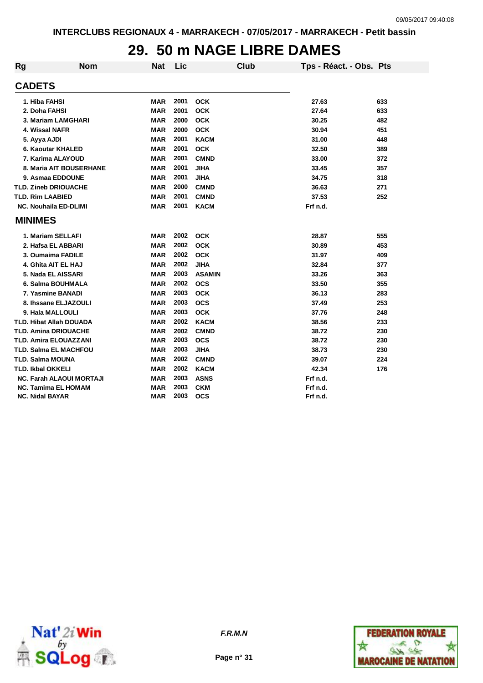#### **29. 50 m NAGE LIBRE DAMES**

| <b>Rg</b> | <b>Nom</b>                      | <b>Nat</b> | Lic  |               | Club | Tps - Réact. - Obs. Pts |     |
|-----------|---------------------------------|------------|------|---------------|------|-------------------------|-----|
|           | <b>CADETS</b>                   |            |      |               |      |                         |     |
|           | 1. Hiba FAHSI                   | <b>MAR</b> | 2001 | <b>OCK</b>    |      | 27.63                   | 633 |
|           | 2. Doha FAHSI                   | <b>MAR</b> | 2001 | <b>OCK</b>    |      | 27.64                   | 633 |
|           | 3. Mariam LAMGHARI              | <b>MAR</b> | 2000 | <b>OCK</b>    |      | 30.25                   | 482 |
|           | 4. Wissal NAFR                  | <b>MAR</b> | 2000 | <b>OCK</b>    |      | 30.94                   | 451 |
|           | 5. Ayya AJDI                    | <b>MAR</b> | 2001 | <b>KACM</b>   |      | 31.00                   | 448 |
|           | 6. Kaoutar KHALED               | <b>MAR</b> | 2001 | <b>OCK</b>    |      | 32.50                   | 389 |
|           | 7. Karima ALAYOUD               | <b>MAR</b> | 2001 | <b>CMND</b>   |      | 33.00                   | 372 |
|           | 8. Maria AIT BOUSERHANE         | <b>MAR</b> | 2001 | <b>JIHA</b>   |      | 33.45                   | 357 |
|           | 9. Asmaa EDDOUNE                | <b>MAR</b> | 2001 | <b>JIHA</b>   |      | 34.75                   | 318 |
|           | <b>TLD. Zineb DRIOUACHE</b>     | <b>MAR</b> | 2000 | <b>CMND</b>   |      | 36.63                   | 271 |
|           | <b>TLD. Rim LAABIED</b>         | <b>MAR</b> | 2001 | <b>CMND</b>   |      | 37.53                   | 252 |
|           | <b>NC. Nouhaila ED-DLIMI</b>    | <b>MAR</b> | 2001 | <b>KACM</b>   |      | Frf n.d.                |     |
|           | <b>MINIMES</b>                  |            |      |               |      |                         |     |
|           | 1. Mariam SELLAFI               | MAR        | 2002 | <b>OCK</b>    |      | 28.87                   | 555 |
|           | 2. Hafsa EL ABBARI              | <b>MAR</b> | 2002 | <b>OCK</b>    |      | 30.89                   | 453 |
|           | 3. Oumaima FADILE               | <b>MAR</b> | 2002 | <b>OCK</b>    |      | 31.97                   | 409 |
|           | 4. Ghita AIT EL HAJ             | <b>MAR</b> | 2002 | <b>JIHA</b>   |      | 32.84                   | 377 |
|           | 5. Nada EL AISSARI              | <b>MAR</b> | 2003 | <b>ASAMIN</b> |      | 33.26                   | 363 |
|           | 6. Salma BOUHMALA               | <b>MAR</b> | 2002 | <b>OCS</b>    |      | 33.50                   | 355 |
|           | 7. Yasmine BANADI               | <b>MAR</b> | 2003 | <b>OCK</b>    |      | 36.13                   | 283 |
|           | 8. Ihssane ELJAZOULI            | <b>MAR</b> | 2003 | <b>OCS</b>    |      | 37.49                   | 253 |
|           | 9. Hala MALLOULI                | <b>MAR</b> | 2003 | <b>OCK</b>    |      | 37.76                   | 248 |
|           | <b>TLD. Hibat Allah DOUADA</b>  | <b>MAR</b> | 2002 | <b>KACM</b>   |      | 38.56                   | 233 |
|           | <b>TLD. Amina DRIOUACHE</b>     | <b>MAR</b> | 2002 | <b>CMND</b>   |      | 38.72                   | 230 |
|           | <b>TLD. Amira ELOUAZZANI</b>    | MAR        | 2003 | <b>OCS</b>    |      | 38.72                   | 230 |
|           | <b>TLD. Salma EL MACHFOU</b>    | MAR        | 2003 | <b>JIHA</b>   |      | 38.73                   | 230 |
|           | <b>TLD. Salma MOUNA</b>         | <b>MAR</b> | 2002 | <b>CMND</b>   |      | 39.07                   | 224 |
|           | TLD. Ikbal OKKELI               | <b>MAR</b> | 2002 | <b>KACM</b>   |      | 42.34                   | 176 |
|           | <b>NC. Farah ALAOUI MORTAJI</b> | <b>MAR</b> | 2003 | <b>ASNS</b>   |      | Frf n.d.                |     |
|           | <b>NC. Tamima EL HOMAM</b>      | <b>MAR</b> | 2003 | <b>CKM</b>    |      | Frf n.d.                |     |
|           | <b>NC. Nidal BAYAR</b>          | <b>MAR</b> | 2003 | <b>OCS</b>    |      | Frf n.d.                |     |



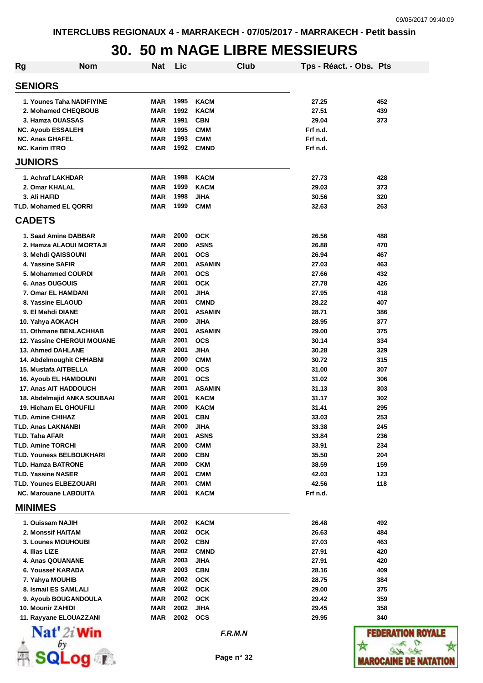#### **30. 50 m NAGE LIBRE MESSIEURS**

| Rg                        | <b>Nom</b>                                                   | Nat        | Lic          |                              | Club | Tps - Réact. - Obs. Pts |            |
|---------------------------|--------------------------------------------------------------|------------|--------------|------------------------------|------|-------------------------|------------|
| <b>SENIORS</b>            |                                                              |            |              |                              |      |                         |            |
|                           | 1. Younes Taha NADIFIYINE                                    | MAR        | 1995         | <b>KACM</b>                  |      | 27.25                   | 452        |
|                           | 2. Mohamed CHEQBOUB                                          | MAR        | 1992         | <b>KACM</b>                  |      | 27.51                   | 439        |
|                           | 3. Hamza OUASSAS                                             | <b>MAR</b> | 1991         | <b>CBN</b>                   |      | 29.04                   | 373        |
|                           | <b>NC. Ayoub ESSALEHI</b>                                    | <b>MAR</b> | 1995         | <b>CMM</b>                   |      | Frf n.d.                |            |
| <b>NC. Anas GHAFEL</b>    |                                                              | <b>MAR</b> | 1993         | <b>CMM</b>                   |      | Frf n.d.                |            |
| <b>NC. Karim ITRO</b>     |                                                              | MAR        | 1992         | <b>CMND</b>                  |      | Frf n.d.                |            |
| <b>JUNIORS</b>            |                                                              |            |              |                              |      |                         |            |
|                           | 1. Achraf LAKHDAR                                            | MAR        | 1998         | <b>KACM</b>                  |      | 27.73                   | 428        |
|                           | 2. Omar KHALAL                                               | MAR        | 1999         | <b>KACM</b>                  |      | 29.03                   | 373        |
| 3. Ali HAFID              |                                                              | MAR        | 1998         | JIHA                         |      | 30.56                   | 320        |
|                           | <b>TLD. Mohamed EL QORRI</b>                                 | MAR        | 1999         | <b>CMM</b>                   |      | 32.63                   | 263        |
| <b>CADETS</b>             |                                                              |            |              |                              |      |                         |            |
|                           | 1. Saad Amine DABBAR                                         | MAR        | 2000         | <b>OCK</b>                   |      | 26.56                   | 488        |
|                           | 2. Hamza ALAOUI MORTAJI                                      | <b>MAR</b> | 2000         | <b>ASNS</b>                  |      | 26.88                   | 470        |
|                           | 3. Mehdi QAISSOUNI                                           | <b>MAR</b> | 2001         | <b>OCS</b>                   |      | 26.94                   | 467        |
|                           | 4. Yassine SAFIR                                             | <b>MAR</b> | 2001         | <b>ASAMIN</b>                |      | 27.03                   | 463        |
|                           | 5. Mohammed COURDI                                           | <b>MAR</b> | 2001         | <b>OCS</b>                   |      | 27.66                   | 432        |
|                           | 6. Anas OUGOUIS                                              | <b>MAR</b> | 2001         | <b>OCK</b>                   |      | 27.78                   | 426        |
|                           | 7. Omar EL HAMDANI                                           | <b>MAR</b> | 2001<br>2001 | <b>JIHA</b>                  |      | 27.95                   | 418        |
|                           | 8. Yassine ELAOUD                                            | <b>MAR</b> | 2001         | <b>CMND</b><br><b>ASAMIN</b> |      | 28.22<br>28.71          | 407        |
|                           | 9. El Mehdi DIANE<br>10. Yahya AOKACH                        | MAR<br>MAR | 2000         | <b>JIHA</b>                  |      | 28.95                   | 386<br>377 |
|                           | 11. Othmane BENLACHHAB                                       | MAR        | 2001         | <b>ASAMIN</b>                |      | 29.00                   | 375        |
|                           | <b>12. Yassine CHERGUI MOUANE</b>                            | MAR        | 2001         | <b>OCS</b>                   |      | 30.14                   | 334        |
|                           | <b>13. Ahmed DAHLANE</b>                                     | MAR        | 2001         | <b>JIHA</b>                  |      | 30.28                   | 329        |
|                           | 14. Abdelmoughit CHHABNI                                     | MAR        | 2000         | <b>CMM</b>                   |      | 30.72                   | 315        |
|                           | 15. Mustafa AITBELLA                                         | MAR        | 2000         | <b>OCS</b>                   |      | 31.00                   | 307        |
|                           | <b>16. Ayoub EL HAMDOUNI</b>                                 | MAR        | 2001         | <b>OCS</b>                   |      | 31.02                   | 306        |
|                           | <b>17. Anas AIT HADDOUCH</b>                                 | <b>MAR</b> | 2001         | <b>ASAMIN</b>                |      | 31.13                   | 303        |
|                           | 18. Abdelmajid ANKA SOUBAAI                                  | <b>MAR</b> | 2001         | <b>KACM</b>                  |      | 31.17                   | 302        |
|                           | <b>19. Hicham EL GHOUFILI</b>                                | <b>MAR</b> | 2000         | <b>KACM</b>                  |      | 31.41                   | 295        |
| <b>TLD. Amine CHIHAZ</b>  |                                                              | <b>MAR</b> | 2001         | <b>CBN</b>                   |      | 33.03                   | 253        |
|                           | <b>TLD. Anas LAKNANBI</b>                                    | <b>MAR</b> | 2000         | <b>JIHA</b>                  |      | 33.38                   | 245        |
| <b>TLD. Taha AFAR</b>     |                                                              | MAR        | 2001         | <b>ASNS</b>                  |      | 33.84                   | 236        |
| <b>TLD. Amine TORCHI</b>  |                                                              | MAR        | 2000<br>2000 | <b>CMM</b>                   |      | 33.91                   | 234        |
|                           | <b>TLD. Youness BELBOUKHARI</b><br><b>TLD. Hamza BATRONE</b> | MAR        | 2000         | <b>CBN</b><br><b>CKM</b>     |      | 35.50<br>38.59          | 204        |
| <b>TLD. Yassine NASER</b> |                                                              | MAR<br>MAR | 2001         | <b>CMM</b>                   |      | 42.03                   | 159<br>123 |
|                           | <b>TLD. Younes ELBEZOUARI</b>                                | <b>MAR</b> | 2001         | <b>CMM</b>                   |      | 42.56                   | 118        |
|                           | <b>NC. Marouane LABOUITA</b>                                 | MAR        | 2001         | <b>KACM</b>                  |      | Frf n.d.                |            |
| <b>MINIMES</b>            |                                                              |            |              |                              |      |                         |            |
|                           | 1. Ouissam NAJIH                                             | MAR        | 2002         | <b>KACM</b>                  |      | 26.48                   | 492        |
|                           | 2. Monssif HAITAM                                            | MAR        | 2002         | <b>OCK</b>                   |      | 26.63                   | 484        |
|                           | <b>3. Lounes MOUHOUBI</b>                                    | MAR        | 2002         | <b>CBN</b>                   |      | 27.03                   | 463        |
| 4. Ilias LIZE             |                                                              | MAR        | 2002         | <b>CMND</b>                  |      | 27.91                   | 420        |
|                           | 4. Anas QOUANANE                                             | <b>MAR</b> | 2003         | <b>JIHA</b>                  |      | 27.91                   | 420        |
|                           | 6. Youssef KARADA                                            | MAR        | 2003         | <b>CBN</b>                   |      | 28.16                   | 409        |
|                           | 7. Yahya MOUHIB                                              | MAR        | 2002         | <b>OCK</b>                   |      | 28.75                   | 384        |
|                           | 8. Ismail ES SAMLALI                                         | MAR        | 2002         | <b>OCK</b>                   |      | 29.00                   | 375        |
|                           | 9. Ayoub BOUGANDOULA                                         | MAR        | 2002         | <b>OCK</b>                   |      | 29.42                   | 359        |
|                           | 10. Mounir ZAHIDI                                            | MAR        | 2002         | <b>JIHA</b>                  |      | 29.45                   | 358        |
|                           | 11. Rayyane ELOUAZZANI                                       | MAR        | 2002         | <b>OCS</b>                   |      | 29.95                   | 340        |
|                           | $\mathbf{Nat}'$ 2i Win                                       |            |              | F.R.M.N                      |      |                         | FEDEM      |
|                           |                                                              |            |              | Page n° 32                   |      |                         | AAROCAINE  |